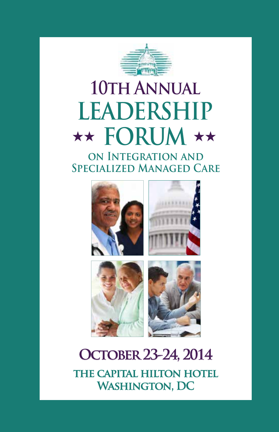

# **10th Annual LEADERSHIP**   $\star\star$  FORUM  $\star\star$

**on Integration and Specialized Managed Care**





# **October 23-24, 2014**

**the capital hilton hotel Washington, DC**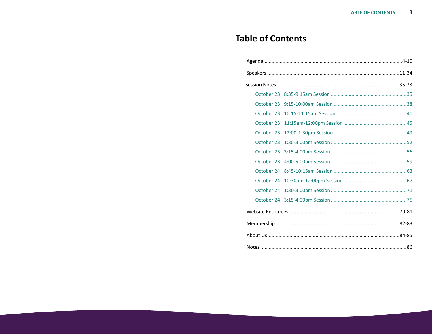# **Table of Contents**

| <b>Notes</b> |  |
|--------------|--|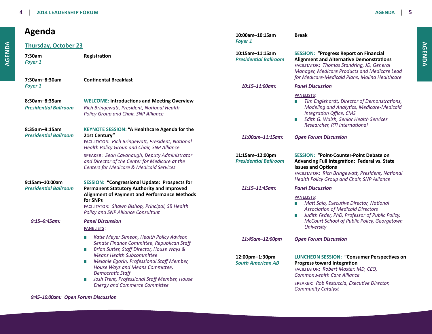**7:30am Registration**

*Foyer 1*

*Foyer 1*

AGENDA **AGENDA**

# **7:30am–8:30am Continental Breakfast**

# **8:30am–8:35am WELCOME: Introductions and Meeting Overview** *Presidential Ballroom Rich Bringewatt, President, National Health Policy Group and Chair, SNP Alliance*

# **8:35am–9:15am KEYNOTE SESSION: "A Healthcare Agenda for the**  *Presidential Ballroom* **21st Century"** facilitator: *Rich Bringewatt, President, National*

*Health Policy Group and Chair, SNP Alliance*

 speaker: *Sean Cavanaugh, Deputy Administrator and Director of the Center for Medicare at the Centers for Medicare & Medicaid Services*

# **9:15am–10:00am SESSION: "Congressional Update: Prospects for**  *Presidential Ballroom* **Permanent Statutory Authority and Improved Alignment of Payment and Performance Methods for SNPs**

facilitator: *Shawn Bishop, Principal, SB Health Policy and SNP Alliance Consultant*

# *9:15–9:45am: Panel Discussion*

**PANELISTS:** 

- *Katie Meyer Simeon, Health Policy Advisor,*   $\Box$ *Senate Finance Committee, Republican Staff*
- П *Brian Sutter, Staff Director, House Ways & Means Health Subcommittee*
- *Melanie Egorin, Professional Staff Member,*  П *House Ways and Means Committee, Democratic Staff*
- П *Josh Trent, Professional Staff Member, House Energy and Commerce Committee*

**10:15am–11:15am SESSION: "Progress Report on Financial** 

| <b>Presidential Ballroom</b> | <b>Alignment and Alternative Demonstrations</b><br><b>FACILITATOR: Thomas Standring, JD, General</b><br><b>Manager, Medicare Products and Medicare Lead</b><br>for Medicare-Medicaid Plans, Molina Healthcare |  |  |
|------------------------------|---------------------------------------------------------------------------------------------------------------------------------------------------------------------------------------------------------------|--|--|
| $10:15 - 11:00$ am:          | <b>Panel Discussion</b>                                                                                                                                                                                       |  |  |
|                              | <b>PANELISTS:</b><br>Tim Englehardt, Director of Demonstrations,<br>Modeling and Analytics, Medicare-Medicaid<br><b>Integration Office, CMS</b>                                                               |  |  |

*Edith G. Walsh, Senior Health Services*   $\sim$ *Researcher, RTI International* 

*11:00am–11:15am: Open Forum Discussion*

# **11:15am–12:00pm SESSION: "Point-Counter-Point Debate on**  *Presidential Ballroom* **Advancing Full Integration: Federal vs. State**

*Foyer 1*

*11:15–11:45am: Panel Discussion*

# panelists:

 **Issues and Options**

- *Matt Salo, Executive Director, National*  **The State** *Association of Medicaid Directors*
- *Judith Feder, PhD, Professor of Public Policy, McCourt School of Public Policy, Georgetown University*

facilitator: *Rich Bringewatt, President, National Health Policy Group and Chair, SNP Alliance*

# *11:45am–12:00pm Open Forum Discussion*

# **12:00pm–1:30pm LUNCHEON SESSION: "Consumer Perspectives on** *South American AB* **Progress toward Integration**

facilitator: *Robert Master, MD, CEO, Commonwealth Care Alliance*

 speaker: *Rob Restuccia, Executive Director, Community Catalyst* 

*9:45–10:00am: Open Forum Discussion*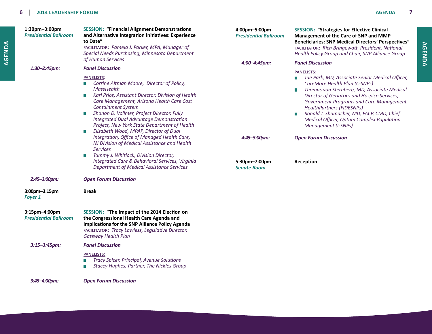**AGENDA**

**AGENDA** 

| $1:30$ pm $-3:00$ pm<br><b>Presidential Ballroom</b> | <b>SESSION: "Financial Alignment Demonstrations</b><br>and Alternative Integration Initiatives: Experience<br>to Date"<br>FACILITATOR: Pamela J. Parker, MPA, Manager of<br>Special Needs Purchasing, Minnesota Department<br>of Human Services                                                                                                                                                                                                                                                                                                                                                                                                                                                                                       | 4:00pm-5:00pm<br><b>Presidential Ballroom</b>                                 | <b>SESSION: "Strategies for Effective Clinical</b><br>Management of the Care of SNP and MMP<br><b>Beneficiaries: SNP Medical Directors' Perspectives"</b><br>FACILITATOR: Rich Bringewatt, President, National<br>Health Policy Group and Chair, SNP Alliance Group                                                                                                                                                                                                                                    |
|------------------------------------------------------|---------------------------------------------------------------------------------------------------------------------------------------------------------------------------------------------------------------------------------------------------------------------------------------------------------------------------------------------------------------------------------------------------------------------------------------------------------------------------------------------------------------------------------------------------------------------------------------------------------------------------------------------------------------------------------------------------------------------------------------|-------------------------------------------------------------------------------|--------------------------------------------------------------------------------------------------------------------------------------------------------------------------------------------------------------------------------------------------------------------------------------------------------------------------------------------------------------------------------------------------------------------------------------------------------------------------------------------------------|
| $1:30 - 2:45$ pm:                                    | <b>Panel Discussion</b><br><b>PANELISTS:</b><br>Corrine Altman Moore, Director of Policy,<br>H.<br><b>MassHealth</b><br>Kari Price, Assistant Director, Division of Health<br>T.<br>Care Management, Arizona Health Care Cost<br><b>Containment System</b><br>Shanon D. Vollmer, Project Director, Fully<br>П<br><b>Integrated Dual Advantage Demonstration</b><br>Project, New York State Department of Health<br>Elizabeth Wood, MPAP, Director of Dual<br>П<br>Integration, Office of Managed Health Care,<br>NJ Division of Medical Assistance and Health<br><b>Services</b><br>Tammy J. Whitlock, Division Director,<br>П<br>Integrated Care & Behavioral Services, Virginia<br><b>Department of Medical Assistance Services</b> | $4:00 - 4:45$ pm:<br>$4:45 - 5:00$ pm:<br>5:30pm-7:00pm<br><b>Senate Room</b> | <b>Panel Discussion</b><br><b>PANELISTS:</b><br>Tae Park, MD, Associate Senior Medical Officer,<br><b>The State</b><br>CareMore Health Plan (C-SNPs)<br>Thomas von Sternberg, MD, Associate Medical<br>П<br>Director of Geriatrics and Hospice Services,<br>Government Programs and Care Management,<br><b>HealthPartners (FIDESNPs)</b><br>Ronald J. Shumacher, MD, FACP, CMD, Chief<br>Medical Officer, Optum Complex Population<br>Management (I-SNPs)<br><b>Open Forum Discussion</b><br>Reception |
| $2:45 - 3:00$ pm:                                    | <b>Open Forum Discussion</b>                                                                                                                                                                                                                                                                                                                                                                                                                                                                                                                                                                                                                                                                                                          |                                                                               |                                                                                                                                                                                                                                                                                                                                                                                                                                                                                                        |
| $3:00$ pm $-3:15$ pm<br><b>Foyer 1</b>               | <b>Break</b>                                                                                                                                                                                                                                                                                                                                                                                                                                                                                                                                                                                                                                                                                                                          |                                                                               |                                                                                                                                                                                                                                                                                                                                                                                                                                                                                                        |
| 3:15pm-4:00pm<br><b>Presidential Ballroom</b>        | SESSION: "The Impact of the 2014 Election on<br>the Congressional Health Care Agenda and<br><b>Implications for the SNP Alliance Policy Agenda</b><br>FACILITATOR: Tracy Lawless, Legislative Director,<br><b>Gateway Health Plan</b>                                                                                                                                                                                                                                                                                                                                                                                                                                                                                                 |                                                                               |                                                                                                                                                                                                                                                                                                                                                                                                                                                                                                        |
| $3:15 - 3:45$ pm:                                    | <b>Panel Discussion</b>                                                                                                                                                                                                                                                                                                                                                                                                                                                                                                                                                                                                                                                                                                               |                                                                               |                                                                                                                                                                                                                                                                                                                                                                                                                                                                                                        |
|                                                      | <b>PANELISTS:</b><br>Tracy Spicer, Principal, Avenue Solutions<br>Stacey Hughes, Partner, The Nickles Group                                                                                                                                                                                                                                                                                                                                                                                                                                                                                                                                                                                                                           |                                                                               |                                                                                                                                                                                                                                                                                                                                                                                                                                                                                                        |
| 3:45–4:00pm:                                         | <b>Open Forum Discussion</b>                                                                                                                                                                                                                                                                                                                                                                                                                                                                                                                                                                                                                                                                                                          |                                                                               |                                                                                                                                                                                                                                                                                                                                                                                                                                                                                                        |

**AGENDA**

AGENDA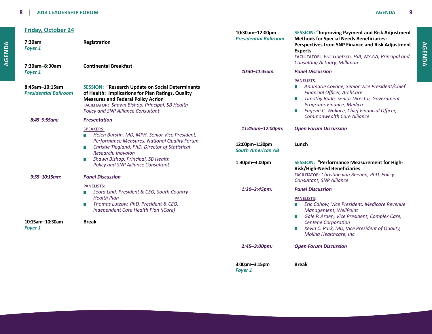**AGENDA**

**AGENDA** 

| <b>Friday, October 24</b>                      |                                                                                                                                                                                                                                                    | 10:30am-12:00pm                            | <b>SESSION: "Improving Payment and Risk Adjustment</b>                                                                                                                                                                                                                              |
|------------------------------------------------|----------------------------------------------------------------------------------------------------------------------------------------------------------------------------------------------------------------------------------------------------|--------------------------------------------|-------------------------------------------------------------------------------------------------------------------------------------------------------------------------------------------------------------------------------------------------------------------------------------|
| 7:30am<br><b>Foyer 1</b>                       | Registration                                                                                                                                                                                                                                       | <b>Presidential Ballroom</b>               | <b>Methods for Special Needs Beneficiaries:</b><br>Perspectives from SNP Finance and Risk Adjustment<br><b>Experts</b><br>FACILITATOR: Eric Goetsch, FSA, MAAA, Principal and                                                                                                       |
| 7:30am-8:30am<br><b>Foyer 1</b>                | <b>Continental Breakfast</b>                                                                                                                                                                                                                       | 10:30-11:45am:                             | Consulting Actuary, Milliman<br><b>Panel Discussion</b>                                                                                                                                                                                                                             |
| 8:45am-10:15am<br><b>Presidential Ballroom</b> | <b>SESSION: "Research Update on Social Determinants</b><br>of Health: Implications for Plan Ratings, Quality<br><b>Measures and Federal Policy Action</b><br>FACILITATOR: Shawn Bishop, Principal, SB Health<br>Policy and SNP Alliance Consultant |                                            | <b>PANELISTS:</b><br>Annmarie Covone, Senior Vice President/Chief<br><b>Financial Officer, ArchCare</b><br>Timothy Rude, Senior Director, Government<br>Programs Finance, Medica<br>Eugene C. Wallace, Chief Financial Officer,<br><b>Tale</b><br><b>Commonwealth Care Alliance</b> |
| $8:45 - 9:55$ am:                              | <b>Presentation</b><br><b>SPEAKERS:</b>                                                                                                                                                                                                            | 11:45am-12:00pm:                           | <b>Open Forum Discussion</b>                                                                                                                                                                                                                                                        |
|                                                | Helen Burstin, MD, MPH, Senior Vice President,<br>$\mathcal{C}^{\mathcal{A}}$<br>Performance Measures, National Quality Forum<br>Christie Tiegland, PhD, Director of Statistical<br><b>I</b><br>Research, Inovalon                                 | 12:00pm-1:30pm<br><b>South American AB</b> | Lunch                                                                                                                                                                                                                                                                               |
|                                                | Shawn Bishop, Principal, SB Health<br>H<br>Policy and SNP Alliance Consultant                                                                                                                                                                      | $1:30$ pm $-3:00$ pm                       | <b>SESSION: "Performance Measurement for High-</b><br><b>Risk/High-Need Beneficiaries</b><br>FACILITATOR: Christine van Reenen, PhD, Policy                                                                                                                                         |
| $9:55 - 10:15$ am:                             | <b>Panel Discussion</b>                                                                                                                                                                                                                            |                                            | Consultant, SNP Alliance                                                                                                                                                                                                                                                            |
|                                                | <b>PANELISTS:</b><br>Leota Lind, President & CEO, South Country<br>П<br><b>Health Plan</b><br>Thomas Lutzow, PhD, President & CEO,<br>П<br>Independent Care Health Plan (iCare)                                                                    | $1:30 - 2:45$ pm:                          | <b>Panel Discussion</b><br><b>PANELISTS:</b><br>Eric Cahow, Vice President, Medicare Revenue<br>ш<br>Management, WellPoint                                                                                                                                                          |
| 10:15am-10:30am<br><b>Foyer 1</b>              | <b>Break</b>                                                                                                                                                                                                                                       |                                            | Gale P. Arden, Vice President, Complex Care,<br>$\mathcal{C}^{\mathcal{A}}$<br><b>Centene Corporation</b><br>Kevin C. Park, MD, Vice President of Quality,<br>Molina Healthcare, Inc.                                                                                               |
|                                                |                                                                                                                                                                                                                                                    | $2:45 - 3:00 \text{pm}:$                   | <b>Open Forum Discussion</b>                                                                                                                                                                                                                                                        |
|                                                |                                                                                                                                                                                                                                                    | 3:00pm-3:15pm<br><b>Fover 1</b>            | <b>Break</b>                                                                                                                                                                                                                                                                        |

**AGENDA**

AGENDA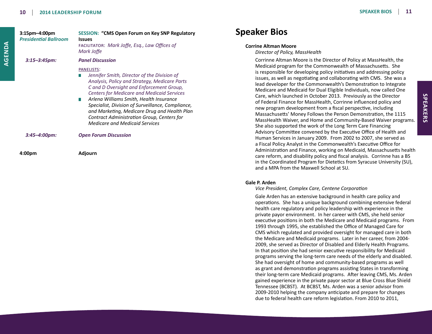| $3:15$ pm $-4:00$ pm<br><b>Presidential Ballroom</b>                                                                                                                                                                                                                                                                                                                                                                                                                                                                  | <b>SESSION: "CMS Open Forum on Key SNP Regulatory</b><br><b>Issues</b> | <b>Speaker Bios</b>                                                                                                                                                                                                                                                 |
|-----------------------------------------------------------------------------------------------------------------------------------------------------------------------------------------------------------------------------------------------------------------------------------------------------------------------------------------------------------------------------------------------------------------------------------------------------------------------------------------------------------------------|------------------------------------------------------------------------|---------------------------------------------------------------------------------------------------------------------------------------------------------------------------------------------------------------------------------------------------------------------|
|                                                                                                                                                                                                                                                                                                                                                                                                                                                                                                                       | FACILITATOR: Mark Joffe, Esq., Law Offices of<br>Mark Joffe            | Corrine Altman Mo<br>Director of Polic                                                                                                                                                                                                                              |
| <b>Panel Discussion</b><br>$3:15 - 3:45$ pm:<br><b>PANELISTS:</b><br>Jennifer Smith, Director of the Division of<br>Analysis, Policy and Strategy, Medicare Parts<br>C and D Oversight and Enforcement Group,<br><b>Centers for Medicare and Medicaid Services</b><br>Arlena Williams Smith, Health Insurance<br>П<br>Specialist, Division of Surveillance, Compliance,<br>and Marketing, Medicare Drug and Health Plan<br><b>Contract Administration Group, Centers for</b><br><b>Medicare and Medicaid Services</b> |                                                                        | Corrinne Altmar<br>Medicaid progra<br>is responsible fo<br>issues, as well a<br>lead developer<br>Medicare and N<br>Care, which lau<br>of Federal Finar<br>new program de<br>Massachusetts'<br>MassHealth Wa<br>She also suppor                                     |
| $3:45 - 4:00 \text{pm}:$                                                                                                                                                                                                                                                                                                                                                                                                                                                                                              | <b>Open Forum Discussion</b>                                           | <b>Advisory Comm</b><br><b>Human Services</b><br>a Fiscal Policy A                                                                                                                                                                                                  |
| 4:00 <sub>pm</sub>                                                                                                                                                                                                                                                                                                                                                                                                                                                                                                    | <b>Adjourn</b>                                                         | Administration<br>care reform, an<br>ta Alexandria de la Seña de Santo de Santo de la contradición de la contradición de la contradición de la contradición de la contradición de la contradición de la contradición de la contradición de la contradición de la co |

# ore

*Director of Policy, MassHealth* 

n Moore is the Director of Policy at MassHealth, the am for the Commonwealth of Massachusetts. She or developing policy initiatives and addressing policy is negotiating and collaborating with CMS. She was a for the Commonwealth's Demonstration to Integrate Medicaid for Dual Eligible Individuals, now called One nched in October 2013. Previously as the Director nce for MassHealth, Corrinne influenced policy and evelopment from a fiscal perspective, including Money Follows the Person Demonstration, the 1115 aiver, and Home and Community-Based Waiver programs. rted the work of the Long Term Care Financing hittee convened by the Executive Office of Health and s in January 2009. From 2002 to 2007, she served as nalyst in the Commonwealth's Executive Office for and Finance, working on Medicaid, Massachusetts health d disability policy and fiscal analysis. Corrinne has a BS in the Coordinated Program for Dietetics from Syracuse University (SU), and a MPA from the Maxwell School at SU.

# **Gale P. Arden**

# *Vice President, Complex Care, Centene Corporation*

Gale Arden has an extensive background in health care policy and operations. She has a unique background combining extensive federal health care regulatory and policy leadership with experience in the private payor environment. In her career with CMS, she held senior executive positions in both the Medicare and Medicaid programs. From 1993 through 1995, she established the Office of Managed Care for CMS which regulated and provided oversight for managed care in both the Medicare and Medicaid programs. Later in her career, from 2004- 2009, she served as Director of Disabled and Elderly Health Programs. In that position she had senior executive responsibility for Medicaid programs serving the long-term care needs of the elderly and disabled. She had oversight of home and community-based programs as well as grant and demonstration programs assisting States in transforming their long-term care Medicaid programs. After leaving CMS, Ms. Arden gained experience in the private payor sector at Blue Cross Blue Shield Tennessee (BCBST). At BCBST, Ms. Arden was a senior advisor from 2009-2010 helping the company anticipate and prepare for changes due to federal health care reform legislation. From 2010 to 2011,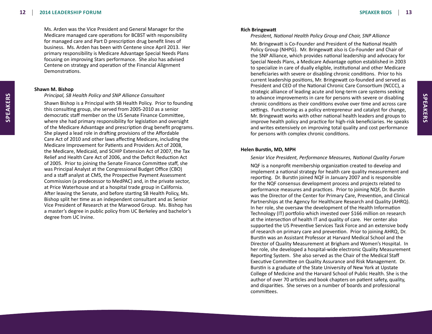Ms. Arden was the Vice President and General Manager for the Medicare managed care operations for BCBST with responsibility for managed care and Part D prescription drug benefit lines of business. Ms. Arden has been with Centene since April 2013. Her primary responsibility is Medicare Advantage Special Needs Plans focusing on improving Stars performance. She also has advised Centene on strategy and operation of the Financial Alignment Demonstrations.

#### **Shawn M. Bishop**

*Principal, SB Health Policy and SNP Alliance Consultant* 

Shawn Bishop is a Principal with SB Health Policy. Prior to founding this consulting group, she served from 2005-2010 as a senior democratic staff member on the US Senate Finance Committee, where she had primary responsibility for legislation and oversight of the Medicare Advantage and prescription drug benefit programs. She played a lead role in drafting provisions of the Affordable Care Act of 2010 and other laws affecting Medicare, including the Medicare Improvement for Patients and Providers Act of 2008, the Medicare, Medicaid, and SCHIP Extension Act of 2007, the Tax Relief and Health Care Act of 2006, and the Deficit Reduction Act of 2005. Prior to joining the Senate Finance Committee staff, she was Principal Analyst at the Congressional Budget Office (CBO) and a staff analyst at CMS, the Prospective Payment Assessment Commission (a predecessor to MedPAC) and, in the private sector, at Price Waterhouse and at a hospital trade group in California. After leaving the Senate, and before starting SB Health Policy, Ms. Bishop split her time as an independent consultant and as Senior Vice President of Research at the Marwood Group. Ms. Bishop has a master's degree in public policy from UC Berkeley and bachelor's degree from UC Irvine.

#### **Rich Bringewatt**

# *President, National Health Policy Group and Chair, SNP Alliance*

Mr. Bringewatt is Co-Founder and President of the National Health Policy Group (NHPG). Mr. Bringewatt also is Co-Founder and Chair of the SNP Alliance, which provides national leadership and advocacy for Special Needs Plans, a Medicare Advantage option established in 2003 to specialize in care of dually eligible, institutional and other Medicare beneficiaries with severe or disabling chronic conditions. Prior to his current leadership positions, Mr. Bringewatt co-founded and served as President and CEO of the National Chronic Care Consortium (NCCC), a strategic alliance of leading acute and long-term care systems seeking to advance improvements in care for persons with severe or disabling chronic conditions as their conditions evolve over time and across care settings. Functioning as a policy entrepreneur and catalyst for change, Mr. Bringewatt works with other national health leaders and groups to improve health policy and practice for high-risk beneficiaries. He speaks and writes extensively on improving total quality and cost performance for persons with complex chronic conditions.

#### **Helen Burstin, MD, MPH**

# *Senior Vice President, Performance Measures, National Quality Forum*

NQF is a nonprofit membership organization created to develop and implement a national strategy for health care quality measurement and reporting. Dr. Burstin joined NQF in January 2007 and is responsible for the NQF consensus development process and projects related to performance measures and practices. Prior to joining NQF, Dr. Burstin was the Director of the Center for Primary Care, Prevention, and Clinical Partnerships at the Agency for Healthcare Research and Quality (AHRQ). In her role, she oversaw the development of the Health Information Technology (IT) portfolio which invested over \$166 million on research at the intersection of health IT and quality of care. Her center also supported the US Preventive Services Task Force and an extensive body of research on primary care and prevention. Prior to joining AHRQ, Dr. Burstin was an Assistant Professor at Harvard Medical School and the Director of Quality Measurement at Brigham and Women's Hospital. In her role, she developed a hospital-wide electronic Quality Measurement Reporting System. She also served as the Chair of the Medical Staff Executive Committee on Quality Assurance and Risk Management. Dr. Burstin is a graduate of the State University of New York at Upstate College of Medicine and the Harvard School of Public Health. She is the author of over 70 articles and book chapters on patient safety, quality, and disparities. She serves on a number of boards and professional committees.

**SPEAKERS**

**SPEAKERS**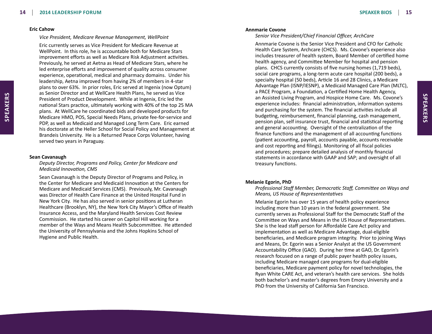#### **Eric Cahow**

#### *Vice President, Medicare Revenue Management, WellPoint*

Eric currently serves as Vice President for Medicare Revenue at WellPoint. In this role, he is accountable both for Medicare Stars improvement efforts as well as Medicare Risk Adjustment activities. Previously, he served at Aetna as Head of Medicare Stars, where he led enterprise efforts and improvement of quality across consumer experience, operational, medical and pharmacy domains. Under his leadership, Aetna improved from having 2% of members in 4-star plans to over 63%. In prior roles, Eric served at Ingenix (now Optum) as Senior Director and at WellCare Health Plans, he served as Vice President of Product Development. While at Ingenix, Eric led the national Stars practice, ultimately working with 40% of the top 25 MA plans. At WellCare he coordinated bids and developed products for Medicare HMO, POS, Special Needs Plans, private fee-for-service and PDP, as well as Medicaid and Managed Long Term Care. Eric earned his doctorate at the Heller School for Social Policy and Management at Brandeis University. He is a Returned Peace Corps Volunteer, having served two years in Paraguay.

#### **Sean Cavanaugh**

*Deputy Director, Programs and Policy, Center for Medicare and Medicaid Innovation, CMS*

Sean Cavanaugh is the Deputy Director of Programs and Policy, in the Center for Medicare and Medicaid Innovation at the Centers for Medicare and Medicaid Services (CMS). Previously, Mr. Cavanaugh was Director of Health Care Finance at the United Hospital Fund in New York City. He has also served in senior positions at Lutheran Healthcare (Brooklyn, NY), the New York City Mayor's Office of Health Insurance Access, and the Maryland Health Services Cost Review Commission. He started his career on Capitol Hill working for a member of the Ways and Means Health Subcommittee. He attended the University of Pennsylvania and the Johns Hopkins School of Hygiene and Public Health.

#### **Annmarie Covone**

# *Senior Vice President/Chief Financial Officer, ArchCare*

Annmarie Covone is the Senior Vice President and CFO for Catholic Health Care System, Archcare (CHCS). Ms. Covone's experience also includes treasurer of health system, Board Member of certified home health agency, and Committee Member for hospital and pension plans. CHCS currently consists of five nursing homes (1,719 beds), social care programs, a long-term acute care hospital (200 beds), a specialty hospital (50 beds), Article 16 and 28 Clinics, a Medicare Advantage Plan (ISNP/IESNP), a Medicaid Managed Care Plan (MLTC), a PACE Program, a Foundation, a Certified Home Health Agency, an Assisted Living Program, and Hospice Home Care. Ms. Covone's experience includes: financial administration, information systems and purchasing for the system. The financial activities include all budgeting, reimbursement, financial planning, cash management, pension plan, self insurance trust, financial and statistical reporting and general accounting. Oversight of the centralization of the finance functions and the management of all accounting functions (patient accounting, payroll, accounts payable, accounts receivable and cost reporting and filings). Monitoring of all fiscal policies and procedures; prepare detailed analysis of monthly financial statements in accordance with GAAP and SAP; and oversight of all treasury functions.

# **Melanie Egorin, PhD**

# *Professional Staff Member, Democratic Staff, Committee on Ways and Means, US House of Represententatives*

Melanie Egorin has over 15 years of health policy experience including more than 10 years in the federal government. She currently serves as Professional Staff for the Democratic Staff of the Committee on Ways and Means in the US House of Representatives. She is the lead staff person for Affordable Care Act policy and implementation as well as Medicare Advantage, dual-eligible beneficiaries, and Medicare program integrity. Prior to joining Ways and Means, Dr. Egorin was a Senior Analyst at the US Government Accountability Office (GAO). During her time at GAO, Dr. Egorin's research focused on a range of public payer health policy issues, including Medicare managed care programs for dual-eligible beneficiaries, Medicare payment policy for novel technologies, the Ryan White CARE Act, and veteran's health care services. She holds both bachelor's and master's degrees from Emory University and a PhD from the University of California San Francisco.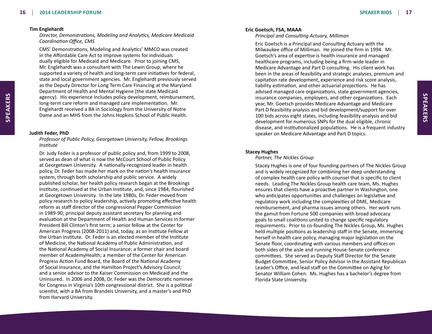# **Tim Englehardt**

*Director, Demonstrations, Modeling and Analytics, Medicare Medicaid Coordination Office, CMS*

CMS' Demonstrations, Modeling and Analytics' MMCO was created in the Affordable Care Act to improve systems for individuals dually eligible for Medicaid and Medicare. Prior to joining CMS, Mr. Englehardt was a consultant with The Lewin Group, where he supported a variety of health and long-term care initiatives for federal, state and local government agencies. Mr. Englehardt previously served as the Deputy Director for Long Term Care Financing at the Maryland Department of Health and Mental Hygiene (the state Medicaid agency). His experience includes policy development, reimbursement, long-term care reform and managed care implementation. Mr. Englehardt received a BA in Sociology from the University of Notre Dame and an MHS from the Johns Hopkins School of Public Health.

# **Judith Feder, PhD**

*Professor of Public Policy, Georgetown University, Fellow, Brookings Institute*

Dr. Judy Feder is a professor of public policy and, from 1999 to 2008, served as dean of what is now the McCourt School of Public Policy at Georgetown University. A nationally-recognized leader in health policy, Dr. Feder has made her mark on the nation's health insurance system, through both scholarship and public service. A widely published scholar, her health policy research began at the Brookings Institute, continued at the Urban Institute, and, since 1984, flourished at Georgetown University. In the late 1980s, Dr. Feder moved from policy research to policy leadership, actively promoting effective health reform as staff director of the congressional Pepper Commission in 1989-90; principal deputy assistant secretary for planning and evaluation at the Department of Health and Human Services in former President Bill Clinton's first term; a senior fellow at the Center for American Progress (2008-2011) and, today, as an Institute Fellow at the Urban Institute. Dr. Feder is an elected member of the Institute of Medicine, the National Academy of Public Administration, and the National Academy of Social Insurance; a former chair and board member of AcademyHealth; a member of the Center for American Progress Action Fund Board, the Board of the National Academy of Social Insurance, and the Hamilton Project's Advisory Council; and a senior advisor to the Kaiser Commission on Medicaid and the Uninsured. In 2006 and 2008, Dr. Feder was the Democratic nominee for Congress in Virginia's 10th congressional district. She is a political scientist, with a BA from Brandeis University, and a master's and PhD from Harvard University.

# **Eric Goetsch, FSA, MAAA**

*Principal and Consulting Actuary, Milliman*

Eric Goetsch is a Principal and Consulting Actuary with the Milwaukee office of Milliman. He joined the firm in 1994. Mr. Goetsch's area of expertise is health insurance and managed healthcare programs, including being a firm-wide leader in Medicare Advantage and Part D consulting. His client work has been in the areas of feasibility and strategic analyses, premium and capitation rate development, experience and risk score analysis, liability estimation, and other actuarial projections. He has advised managed care organizations, state government agencies, insurance companies, employers, and other organizations. Each year, Mr. Goetsch provides Medicare Advantage and Medicare Part D feasibility analysis and bid development/support for over 100 bids across eight states, including feasibility analysis and bid development for numerous SNPs for the dual eligible, chronic disease, and institutionalized populations. He is a frequent industry speaker on Medicare Advantage and Part D topics.

# **Stacey Hughes**

# *Partner, The Nickles Group*

Stacey Hughes is one of four founding partners of The Nickles Group and is widely recognized for combining her deep understanding of complex health care policy with counsel that is specific to client needs. Leading The Nickles Group health care team, Ms. Hughes ensures that clients have a proactive partner in Washington, one who anticipates opportunities and challenges on legislative and regulatory work including the complexities of DME, Medicare reimbursement, and pharma issues among others. Her work runs the gamut from Fortune 500 companies with broad advocacy goals to small coalitions united to change specific regulatory requirements. Prior to co-founding The Nickles Group, Ms. Hughes held multiple positions as leadership staff in the Senate, immersing herself in health care policy, managing major legislation on the Senate floor, coordinating with various members and offices on both sides of the aisle and running House-Senate conference committees. She served as Deputy Staff Director for the Senate Budget Committee, Senior Policy Advisor in the Assistant Republican Leader's Office, and lead staff on the Committee on Aging for Senator William Cohen. Ms. Hughes has a bachelor's degree from Florida State University.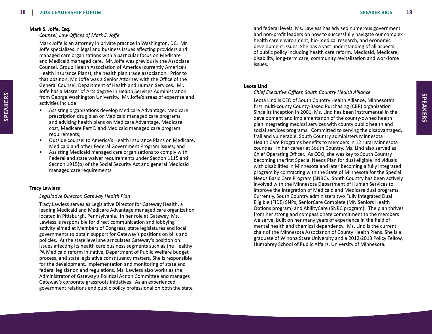# **Mark S. Joffe, Esq.**

# *Counsel, Law Offices of Mark S. Joffe*

Mark Joffe is an attorney in private practice in Washington, DC. Mr. Joffe specializes in legal and business issues affecting providers and managed care organizations with a particular focus on Medicare and Medicaid managed care. Mr. Joffe was previously the Associate Counsel, Group Health Association of America (currently America's Health Insurance Plans), the health plan trade association. Prior to that position, Mr. Joffe was a Senior Attorney with the Office of the General Counsel, Department of Health and Human Services. Mr. Joffe has a Master of Arts degree in Health Services Administration from George Washington University. Mr. Joffe's areas of expertise and activities include:

- Assisting organizations develop Medicare Advantage, Medicare prescription drug plan or Medicaid managed care programs and advising health plans on Medicare Advantage, Medicare cost, Medicare Part D and Medicaid managed care program requirements;
- Outside counsel to America's Health Insurance Plans on Medicare, Medicaid and other Federal Government Program issues; and
- Assisting Medicaid managed care organizations to comply with Federal and state waiver requirements under Section 1115 and Section 1915(b) of the Social Security Act and general Medicaid managed care requirements.

# **Tracy Lawless**

# *Legislative Director, Gateway Health Plan*

Tracy Lawless serves as Legislative Director for Gateway Health, a leading Medicaid and Medicare Advantage managed care organization located in Pittsburgh, Pennsylvania. In her role at Gateway, Ms. Lawless is responsible for direct communication and lobbying activity aimed at Members of Congress, state legislatures and local governments to obtain support for Gateway's positions on bills and policies. At the state level she articulates Gateway's position on issues affecting its health care business segments such as the Healthy PA Medicaid reform initiative, Department of Public Welfare budget process, and state legislative constituency matters. She is responsible for the development, implementation and monitoring of state and federal legislation and regulations. Ms. Lawless also works as the Administrator of Gateway's Political Action Committee and manages Gateway's corporate grassroots initiatives. As an experienced government relations and public policy professional on both the state

and federal levels, Ms. Lawless has advised numerous government and non-profit leaders on how to successfully navigate our complex health care environment, bio-medical research, and economic development issues. She has a vast understanding of all aspects of public policy including health care reform, Medicaid, Medicare, disability, long-term care, community revitalization and workforce issues.

# **Leota Lind**

# *Chief Executive Officer, South Country Health Alliance*

Leota Lind is CEO of South Country Health Alliance, Minnesota's first multi-county County-Based Purchasing (CBP) organization Since its inception in 2001, Ms. Lind has been instrumental in the development and implementation of the county-owned health plan integrating medical services with county public health and social services programs. Committed to serving the disadvantaged, frail and vulnerable, South Country administers Minnesota Health Care Programs benefits to members in 12 rural Minnesota counties. In her career at South Country, Ms. Lind also served as Chief Operating Officer. As COO, she was key to South Country becoming the first Special Needs Plan for dual eligible individuals with disabilities in Minnesota and later becoming a fully integrated program by contracting with the State of Minnesota for the Special Needs Basic Care Program (SNBC). South Country has been actively involved with the Minnesota Department of Human Services to improve the integration of Medicaid and Medicare dual programs. Currently, South Country administers two Fully Integrated Dual Eligible (FIDE) SNPs, SeniorCare Complete (MN Seniors Health Options program) and AbilityCare (SNBC program). The plan thrives from her strong and compassionate commitment to the members we serve, built on her many years of experience in the field of mental health and chemical dependency. Ms. Lind is the current chair of the Minnesota Association of County Health Plans. She is a graduate of Winona State University and a 2012-2013 Policy Fellow, Humphrey School of Public Affairs, University of Minnesota.

**SPEAKERS**

**SPEAKERS**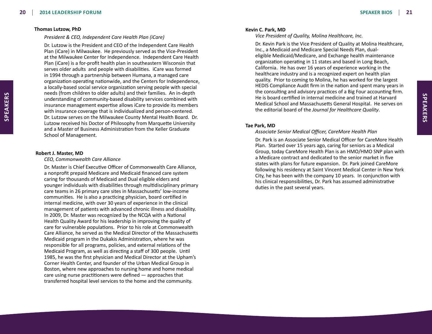#### **Thomas Lutzow, PhD**

# *President & CEO, Independent Care Health Plan (iCare)*

Dr. Lutzow is the President and CEO of the Independent Care Health Plan (iCare) in Milwaukee. He previously served as the Vice-President at the Milwaukee Center for Independence. Independent Care Health Plan (iCare) is a for-profit health plan in southeastern Wisconsin that serves older adults and people with disabilities. iCare was formed in 1994 through a partnership between Humana, a managed care organization operating nationwide, and the Centers for Independence, a locally-based social service organization serving people with special needs (from children to older adults) and their families. An in-depth understanding of community-based disability services combined with insurance management expertise allows iCare to provide its members with insurance coverage that is individualized and person-centered. Dr. Lutzow serves on the Milwaukee County Mental Health Board. Dr. Lutzow received his Doctor of Philosophy from Marquette University and a Master of Business Administration from the Keller Graduate School of Management.

# **Robert J. Master, MD**

#### *CEO, Commonwealth Care Alliance*

Dr. Master is Chief Executive Officer of Commonwealth Care Alliance, a nonprofit prepaid Medicare and Medicaid financed care system caring for thousands of Medicaid and Dual eligible elders and younger individuals with disabilities through multidisciplinary primary care teams in 26 primary care sites in Massachusetts' low-income communities. He is also a practicing physician, board certified in internal medicine, with over 30 years of experience in the clinical management of patients with advanced chronic illness and disability. In 2009, Dr. Master was recognized by the NCQA with a National Health Quality Award for his leadership in improving the quality of care for vulnerable populations. Prior to his role at Commonwealth Care Alliance, he served as the Medical Director of the Massachusetts Medicaid program in the Dukakis Administration, where he was responsible for all programs, policies, and external relations of the Medicaid Program, as well as directing a staff of 300 people. Until 1985, he was the first physician and Medical Director at the Upham's Corner Health Center, and founder of the Urban Medical Group in Boston, where new approaches to nursing home and home medical care using nurse practitioners were defined — approaches that transferred hospital level services to the home and the community.

**SPEAKER BIOS** | **21**

#### **Kevin C. Park, MD**

*Vice President of Quality, Molina Healthcare, Inc.*

Dr. Kevin Park is the Vice President of Quality at Molina Healthcare, Inc., a Medicaid and Medicare Special Needs Plan, dualeligible Medicaid/Medicare, and Exchange health maintenance organization operating in 11 states and based in Long Beach, California. He has over 16 years of experience working in the healthcare industry and is a recognized expert on health plan quality. Prior to coming to Molina, he has worked for the largest HEDIS Compliance Audit firm in the nation and spent many years in the consulting and advisory practices of a Big Four accounting firm. He is board certified in internal medicine and trained at Harvard Medical School and Massachusetts General Hospital. He serves on the editorial board of the *Journal for Healthcare Quality*.

# **Tae Park, MD**

# *Associate Senior Medical Officer, CareMore Health Plan*

Dr. Park is an Associate Senior Medical Officer for CareMore Health Plan. Started over 15 years ago, caring for seniors as a Medical Group, today CareMore Health Plan is an HMO/HMO SNP plan with a Medicare contract and dedicated to the senior market in five states with plans for future expansion. Dr. Park joined CareMore following his residency at Saint Vincent Medical Center in New York City, he has been with the company 10 years. In conjunction with his clinical responsibilities, Dr. Park has assumed administrative duties in the past several years.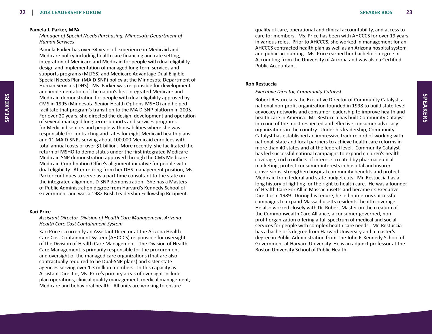### **Pamela J. Parker, MPA**

*Manager of Special Needs Purchasing, Minnesota Department of Human Services*

Pamela Parker has over 34 years of experience in Medicaid and Medicare policy including health care financing and rate setting, integration of Medicare and Medicaid for people with dual eligibility, design and implementation of managed long-term services and supports programs (MLTSS) and Medicare Advantage Dual Eligible-Special Needs Plan (MA D-SNP) policy at the Minnesota Department of Human Services (DHS). Ms. Parker was responsible for development and implementation of the nation's first integrated Medicare and Medicaid demonstration for people with dual eligibility approved by CMS in 1995 (Minnesota Senior Health Options-MSHO) and helped facilitate that program's transition to the MA D-SNP platform in 2005. For over 20 years, she directed the design, development and operation of several managed long term supports and services programs for Medicaid seniors and people with disabilities where she was responsible for contracting and rates for eight Medicaid health plans and 11 MA D-SNPs serving about 100,000 Medicaid enrollees with total annual costs of over \$1 billion. More recently, she facilitated the return of MSHO to demo status under the first integrated Medicare Medicaid SNP demonstration approved through the CMS Medicare Medicaid Coordination Office's alignment initiative for people with dual eligibility. After retiring from her DHS management position, Ms. Parker continues to serve as a part time consultant to the state on the integrated alignment D-SNP demonstration. She has a Masters of Public Administration degree from Harvard's Kennedy School of Government and was a 1982 Bush Leadership Fellowship Recipient.

# **Kari Price**

*Assistant Director, Division of Health Care Management, Arizona Health Care Cost Containment System*

Kari Price is currently an Assistant Director at the Arizona Health Care Cost Containment System (AHCCCS) responsible for oversight of the Division of Health Care Management. The Division of Health Care Management is primarily responsible for the procurement and oversight of the managed care organizations (that are also contractually required to be Dual-SNP plans) and sister state agencies serving over 1.3 million members. In this capacity as Assistant Director, Ms. Price's primary areas of oversight include plan operations, clinical quality management, medical management, Medicare and behavioral health. All units are working to ensure

quality of care, operational and clinical accountability, and access to care for members. Ms. Price has been with AHCCCS for over 19 years in various roles. Prior to AHCCCS, she worked in management for an AHCCCS contracted health plan as well as an Arizona hospital system and public accounting. Ms. Price earned her bachelor's degree in Accounting from the University of Arizona and was also a Certified Public Accountant.

# **Rob Restuccia**

#### *Executive Director, Community Catalyst*

Robert Restuccia is the Executive Director of Community Catalyst, a national non-profit organization founded in 1998 to build state-level advocacy networks and consumer leadership to improve health and health care in America. Mr. Restuccia has built Community Catalyst into one of the most respected and effective consumer advocacy organizations in the country. Under his leadership, Community Catalyst has established an impressive track record of working with national, state and local partners to achieve health care reforms in more than 40 states and at the federal level. Community Catalyst has led successful national campaigns to expand children's health coverage, curb conflicts of interests created by pharmaceutical marketing, protect consumer interests in hospital and insurer conversions, strengthen hospital community benefits and protect Medicaid from federal and state budget cuts. Mr. Restuccia has a long history of fighting for the right to health care. He was a founder of Health Care For All in Massachusetts and became its Executive Director in 1989. During his tenure, he led numerous successful campaigns to expand Massachusetts residents' health coverage. He also worked closely with Dr. Robert Master on the creation of the Commonwealth Care Alliance, a consumer-governed, nonprofit organization offering a full spectrum of medical and social services for people with complex health care needs. Mr. Restuccia has a bachelor's degree from Harvard University and a master's degree in Public Administration from The John F. Kennedy School of Government at Harvard University. He is an adjunct professor at the Boston University School of Public Health.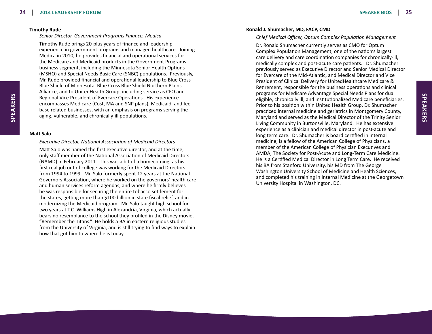#### **Timothy Rude**

### *Senior Director, Government Programs Finance, Medica*

Timothy Rude brings 20-plus years of finance and leadership experience in government programs and managed healthcare. Joining Medica in 2010, he provides financial and operational services for the Medicare and Medicaid products in the Government Programs business segment, including the Minnesota Senior Health Options (MSHO) and Special Needs Basic Care (SNBC) populations. Previously, Mr. Rude provided financial and operational leadership to Blue Cross Blue Shield of Minnesota, Blue Cross Blue Shield Northern Plains Alliance, and to UnitedHealth Group, including service as CFO and Regional Vice President of Evercare Operations. His experience encompasses Medicare (Cost, MA and SNP plans), Medicaid, and feebase related businesses, with an emphasis on programs serving the aging, vulnerable, and chronically-ill populations.

#### **Matt Salo**

#### *Executive Director, National Association of Medicaid Directors*

Matt Salo was named the first executive director, and at the time, only staff member of the National Association of Medicaid Directors (NAMD) in February 2011. This was a bit of a homecoming, as his first real job out of college was working for the Medicaid Directors from 1994 to 1999. Mr. Salo formerly spent 12 years at the National Governors Association, where he worked on the governors' health care and human services reform agendas, and where he firmly believes he was responsible for securing the entire tobacco settlement for the states, getting more than \$100 billion in state fiscal relief, and in modernizing the Medicaid program. Mr. Salo taught high school for two years at T.C. Williams High in Alexandria, Virginia, which actually bears no resemblance to the school they profiled in the Disney movie, "Remember the Titans." He holds a BA in eastern religious studies from the University of Virginia, and is still trying to find ways to explain how that got him to where he is today.

# **Ronald J. Shumacher, MD, FACP, CMD**

# *Chief Medical Officer, Optum Complex Population Management*

Dr. Ronald Shumacher currently serves as CMO for Optum Complex Population Management, one of the nation's largest care delivery and care coordination companies for chronically-ill, medically complex and post-acute care patients. Dr. Shumacher previously served as Executive Director and Senior Medical Director for Evercare of the Mid-Atlantic, and Medical Director and Vice President of Clinical Delivery for UnitedHealthcare Medicare & Retirement, responsible for the business operations and clinical programs for Medicare Advantage Special Needs Plans for dual eligible, chronically ill, and institutionalized Medicare beneficiaries. Prior to his position within United Health Group, Dr. Shumacher practiced internal medicine and geriatrics in Montgomery County, Maryland and served as the Medical Director of the Trinity Senior Living Community in Burtonsville, Maryland. He has extensive experience as a clinician and medical director in post-acute and long term care. Dr. Shumacher is board certified in internal medicine, is a fellow of the American College of Physicians, a member of the American College of Physician Executives and AMDA, The Society for Post-Acute and Long-Term Care Medicine. He is a Certified Medical Director in Long Term Care. He received his BA from Stanford University, his MD from The George Washington University School of Medicine and Health Sciences, and completed his training in Internal Medicine at the Georgetown University Hospital in Washington, DC.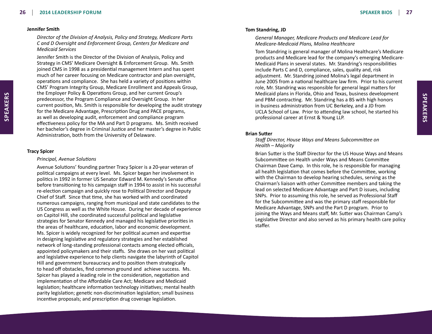#### **Jennifer Smith**

*Director of the Division of Analysis, Policy and Strategy, Medicare Parts C and D Oversight and Enforcement Group, Centers for Medicare and Medicaid Services*

Jennifer Smith is the Director of the Division of Analysis, Policy and Strategy in CMS' Medicare Oversight & Enforcement Group. Ms. Smith joined CMS in 1998 as a presidential management Intern and has spent much of her career focusing on Medicare contractor and plan oversight, operations and compliance. She has held a variety of positions within CMS' Program Integrity Group, Medicare Enrollment and Appeals Group, the Employer Policy & Operations Group, and her current Group's predecessor, the Program Compliance and Oversight Group. In her current position, Ms. Smith is responsible for developing the audit strategy for the Medicare Advantage, Prescription Drug and PACE programs, as well as developing audit, enforcement and compliance program effectiveness policy for the MA and Part D programs. Ms. Smith received her bachelor's degree in Criminal Justice and her master's degree in Public Administration, both from the University of Delaware.

# **Tracy Spicer**

**SPEAKERS**

**SPEAKERS** 

#### *Principal, Avenue Solutions*

Avenue Solutions' founding partner Tracy Spicer is a 20-year veteran of political campaigns at every level. Ms. Spicer began her involvement in politics in 1992 in former US Senator Edward M. Kennedy's Senate office before transitioning to his campaign staff in 1994 to assist in his successful re-election campaign and quickly rose to Political Director and Deputy Chief of Staff. Since that time, she has worked with and coordinated numerous campaigns, ranging from municipal and state candidates to the US Congress as well as the White House. During her decade of experience on Capitol Hill, she coordinated successful political and legislative strategies for Senator Kennedy and managed his legislative priorities in the areas of healthcare, education, labor and economic development. Ms. Spicer is widely recognized for her political acumen and expertise in designing legislative and regulatory strategies and her established network of long-standing professional contacts among elected officials, appointed policymakers and their staffs. She draws on her vast political and legislative experience to help clients navigate the labyrinth of Capitol Hill and government bureaucracy and to position them strategically to head off obstacles, find common ground and achieve success. Ms. Spicer has played a leading role in the consideration, negotiation and implementation of the Affordable Care Act; Medicare and Medicaid legislation; healthcare information technology initiatives; mental health parity legislation; genetic non-discrimination legislation; small business incentive proposals; and prescription drug coverage legislation.

# *General Manager, Medicare Products and Medicare Lead for Medicare-Medicaid Plans, Molina Healthcare*

Tom Standring is general manager of Molina Healthcare's Medicare products and Medicare lead for the company's emerging Medicare-Medicaid Plans in several states. Mr. Standring's responsibilities include Parts C and D, compliance, sales, quality and, risk adjustment. Mr. Standring joined Molina's legal department in June 2005 from a national healthcare law firm. Prior to his current role, Mr. Standring was responsible for general legal matters for Medicaid plans in Florida, Ohio and Texas, business development and PBM contracting. Mr. Standring has a BS with high honors in business administration from UC Berkeley, and a JD from UCLA School of Law. Prior to attending law school, he started his professional career at Ernst & Young LLP.

# **Brian Sutter**

*Staff Director, House Ways and Means Subcommittee on Health – Majority* 

Brian Sutter is the Staff Director for the US House Ways and Means Subcommittee on Health under Ways and Means Committee Chairman Dave Camp. In this role, he is responsible for managing all health legislation that comes before the Committee, working with the Chairman to develop hearing schedules, serving as the Chairman's liaison with other Committee members and taking the lead on selected Medicare Advantage and Part D issues, including SNPs. Prior to assuming this role, he served as Professional Staff for the Subcommittee and was the primary staff responsible for Medicare Advantage, SNPs and the Part D program. Prior to joining the Ways and Means staff, Mr. Sutter was Chairman Camp's Legislative Director and also served as his primary health care policy staffer.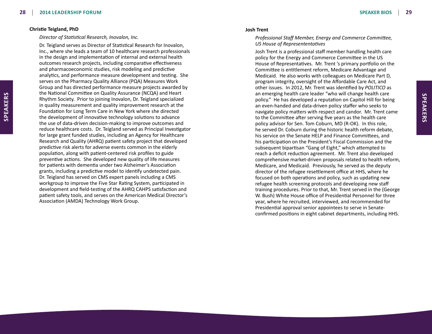# **Christie Teigland, PhD**

**SPEAKERS**

**SPEAKERS** 

*Director of Statistical Research, Inovalon, Inc.*

Dr. Teigland serves as Director of Statistical Research for Inovalon, Inc., where she leads a team of 10 healthcare research professionals in the design and implementation of internal and external health outcomes research projects, including comparative effectiveness and pharmacoeconomic studies, risk modeling and predictive analytics, and performance measure development and testing. She serves on the Pharmacy Quality Alliance (PQA) Measures Work Group and has directed performance measure projects awarded by the National Committee on Quality Assurance (NCQA) and Heart Rhythm Society. Prior to joining Inovalon, Dr. Teigland specialized in quality measurement and quality improvement research at the Foundation for Long Term Care in New York where she directed the development of innovative technology solutions to advance the use of data-driven decision-making to improve outcomes and reduce healthcare costs. Dr. Teigland served as Principal Investigator for large grant funded studies, including an Agency for Healthcare Research and Quality (AHRQ) patient safety project that developed predictive risk alerts for adverse events common in the elderly population, along with patient-centered risk profiles to guide preventive actions. She developed new quality of life measures for patients with dementia under two Alzheimer's Association grants, including a predictive model to identify undetected pain. Dr. Teigland has served on CMS expert panels including a CMS workgroup to improve the Five Star Rating System, participated in development and field-testing of the AHRQ CAHPS satisfaction and patient safety tools, and serves on the American Medical Director's Association (AMDA) Technology Work Group.

# **Josh Trent**

# *Professional Staff Member, Energy and Commerce Committee, US House of Represententatives*

Josh Trent is a professional staff member handling health care policy for the Energy and Commerce Committee in the US House of Representatives. Mr. Trent 's primary portfolio on the Committee is entitlement reform, Medicare Advantage and Medicaid. He also works with colleagues on Medicare Part D, program integrity, oversight of the Affordable Care Act, and other issues. In 2012, Mr. Trent was identified by *POLITICO* as an emerging health care leader "who will change health care policy." He has developed a reputation on Capitol Hill for being an even-handed and data-driven policy staffer who seeks to navigate policy matters with respect and candor. Mr. Trent came to the Committee after serving five years as the health care policy advisor for Sen. Tom Coburn, MD (R-OK). In this role, he served Dr. Coburn during the historic health reform debate, his service on the Senate HELP and Finance Committees, and his participation on the President's Fiscal Commission and the subsequent bipartisan "Gang of Eight," which attempted to reach a deficit reduction agreement. Mr. Trent also developed comprehensive market-driven proposals related to health reform, Medicare, and Medicaid. Previously, he served as the deputy director of the refugee resettlement office at HHS, where he focused on both operations and policy, such as updating new refugee health screening protocols and developing new staff training procedures. Prior to that, Mr. Trent served in the (George W. Bush) White House office of Presidential Personnel for three year, where he recruited, interviewed, and recommended for Presidential approval senior appointees to serve in Senateconfirmed positions in eight cabinet departments, including HHS.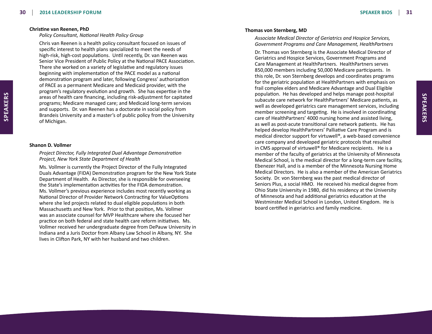#### **Christine van Reenen, PhD**

*Policy Consultant, National Health Policy Group* 

Chris van Reenen is a health policy consultant focused on issues of specific interest to health plans specialized to meet the needs of high-risk, high-cost populations. Until recently, Dr. van Reenen was Senior Vice President of Public Policy at the National PACE Association. There she worked on a variety of legislative and regulatory issues beginning with implementation of the PACE model as a national demonstration program and later, following Congress' authorization of PACE as a permanent Medicare and Medicaid provider, with the program's regulatory evolution and growth. She has expertise in the areas of health care financing, including risk-adjustment for capitated programs; Medicare managed care; and Medicaid long-term services and supports. Dr. van Reenen has a doctorate in social policy from Brandeis University and a master's of public policy from the University of Michigan.

# **Shanon D. Vollmer**

# *Project Director, Fully Integrated Dual Advantage Demonstration Project, New York State Department of Health*

Ms. Vollmer is currently the Project Director of the Fully Integrated Duals Advantage (FIDA) Demonstration program for the New York State Department of Health. As Director, she is responsible for overseeing the State's implementation activities for the FIDA demonstration. Ms. Vollmer's previous experience includes most recently working as National Director of Provider Network Contracting for ValueOptions where she led projects related to dual eligible populations in both Massachusetts and New York. Prior to that position, Ms. Vollmer was an associate counsel for MVP Healthcare where she focused her practice on both federal and state health care reform initiatives. Ms. Vollmer received her undergraduate degree from DePauw University in Indiana and a Juris Doctor from Albany Law School in Albany, NY. She lives in Clifton Park, NY with her husband and two children.

# *Associate Medical Director of Geriatrics and Hospice Services, Government Programs and Care Management, HealthPartners*

Dr. Thomas von Sternberg is the Associate Medical Director of Geriatrics and Hospice Services, Government Programs and Care Management at HealthPartners. HealthPartners serves 850,000 members including 50,000 Medicare participants. In this role, Dr. von Sternberg develops and coordinates programs for the geriatric population at HealthPartners with emphasis on frail complex elders and Medicare Advantage and Dual Eligible population. He has developed and helps manage post-hospital subacute care network for HealthPartners' Medicare patients, as well as developed geriatrics care management services, including member screening and targeting. He is involved in coordinating care of HealthPartners' 4000 nursing home and assisted living, as well as post-acute transitional care network patients. He has helped develop HealthPartners' Palliative Care Program and is medical director support for virtuwell®, a web-based convenience care company and developed geriatric protocols that resulted in CMS approval of virtuwell® for Medicare recipients. He is a member of the faculty of geriatrics at the University of Minnesota Medical School, is the medical director for a long-term care facility, Ebenezer Hall, and is a member of the Minnesota Nursing Home Medical Directors. He is also a member of the American Geriatrics Society. Dr. von Sternberg was the past medical director of Seniors Plus, a social HMO. He received his medical degree from Ohio State University in 1980, did his residency at the University of Minnesota and had additional geriatrics education at the Westminster Medical School in London, United Kingdom. He is board certified in geriatrics and family medicine.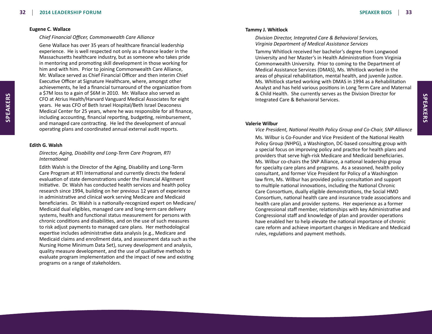# **Eugene C. Wallace**

# *Chief Financial Officer, Commonwealth Care Alliance*

Gene Wallace has over 35 years of healthcare financial leadership experience. He is well respected not only as a finance leader in the Massachusetts healthcare industry, but as someone who takes pride in mentoring and promoting skill development in those working for him and with him. Prior to joining Commonwealth Care Alliance, Mr. Wallace served as Chief Financial Officer and then interim Chief Executive Officer at Signature Healthcare, where, amongst other achievements, he led a financial turnaround of the organization from a \$7M loss to a gain of \$6M in 2010. Mr. Wallace also served as CFO at Atrius Health/Harvard Vanguard Medical Associates for eight years. He was CFO of Beth Israel Hospital/Beth Israel Deaconess Medical Center for 25 years, where he was responsible for all finance, including accounting, financial reporting, budgeting, reimbursement, and managed care contracting. He led the development of annual operating plans and coordinated annual external audit reports.

# **Edith G. Walsh**

# *Director, Aging, Disability and Long-Term Care Program, RTI International*

Edith Walsh is the Director of the Aging, Disability and Long-Term Care Program at RTI International and currently directs the federal evaluation of state demonstrations under the Financial Alignment Initiative. Dr. Walsh has conducted health services and health policy research since 1994, building on her previous 12 years of experience in administrative and clinical work serving Medicare and Medicaid beneficiaries. Dr. Walsh is a nationally-recognized expert on Medicare/ Medicaid dual eligibles, managed care and long-term care delivery systems, health and functional status measurement for persons with chronic conditions and disabilities, and on the use of such measures to risk adjust payments to managed care plans. Her methodological expertise includes administrative data analysis (e.g., Medicare and Medicaid claims and enrollment data, and assessment data such as the Nursing Home Minimum Data Set), survey development and analysis, quality measure development, and the use of qualitative methods to evaluate program implementation and the impact of new and existing programs on a range of stakeholders.

# *Division Director, Integrated Care & Behavioral Services, Virginia Department of Medical Assistance Services*

Tammy Whitlock received her bachelor's degree from Longwood University and her Master's in Health Administration from Virginia Commonwealth University. Prior to coming to the Department of Medical Assistance Services (DMAS), Ms. Whitlock worked in the areas of physical rehabilitation, mental health, and juvenile justice. Ms. Whitlock started working with DMAS in 1994 as a Rehabilitation Analyst and has held various positions in Long Term Care and Maternal & Child Health. She currently serves as the Division Director for Integrated Care & Behavioral Services.

# **Valerie Wilbur**

# *Vice President, National Health Policy Group and Co-Chair, SNP Alliance*

Ms. Wilbur is Co-Founder and Vice President of the National Health Policy Group (NHPG), a Washington, DC-based consulting group with a special focus on improving policy and practice for health plans and providers that serve high-risk Medicare and Medicaid beneficiaries. Ms. Wilbur co-chairs the SNP Alliance, a national leadership group for specialty care plans and programs. As a seasoned, health policy consultant, and former Vice President for Policy of a Washington law firm, Ms. Wilbur has provided policy consultation and support to multiple national innovations, including the National Chronic Care Consortium, dually eligible demonstrations, the Social HMO Consortium, national health care and insurance trade associations and health care plan and provider systems. Her experience as a former Congressional staff member, relationships with key Administrative and Congressional staff and knowledge of plan and provider operations have enabled her to help elevate the national importance of chronic care reform and achieve important changes in Medicare and Medicaid rules, regulations and payment methods.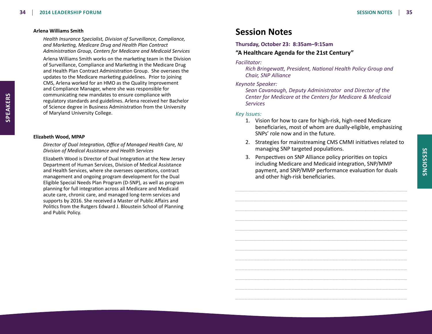# **Arlena Williams Smith**

*Health Insurance Specialist, Division of Surveillance, Compliance, and Marketing, Medicare Drug and Health Plan Contract Administration Group, Centers for Medicare and Medicaid Services*

Arlena Williams Smith works on the marketing team in the Division of Surveillance, Compliance and Marketing in the Medicare Drug and Health Plan Contract Administration Group. She oversees the updates to the Medicare marketing guidelines. Prior to joining CMS, Arlena worked for an HMO as the Quality Improvement and Compliance Manager, where she was responsible for communicating new mandates to ensure compliance with regulatory standards and guidelines. Arlena received her Bachelor of Science degree in Business Administration from the University of Maryland University College.

# **Elizabeth Wood, MPAP**

**SPEAKERS SPEAKERS**

> *Director of Dual Integration, Office of Managed Health Care, NJ Division of Medical Assistance and Health Services*

> Elizabeth Wood is Director of Dual Integration at the New Jersey Department of Human Services, Division of Medical Assistance and Health Services, where she oversees operations, contract management and ongoing program development for the Dual Eligible Special Needs Plan Program (D-SNP), as well as program planning for full integration across all Medicare and Medicaid acute care, chronic care, and managed long-term services and supports by 2016. She received a Master of Public Affairs and Politics from the Rutgers Edward J. Bloustein School of Planning and Public Policy.

# **Session Notes**

# **Thursday, October 23: 8:35am–9:15am**

# **"A Healthcare Agenda for the 21st Century"**

# *Facilitator:*

*Rich Bringewatt, President, National Health Policy Group and Chair, SNP Alliance*

# *Keynote Speaker:*

*Sean Cavanaugh, Deputy Administrator and Director of the Center for Medicare at the Centers for Medicare & Medicaid Services* 

# *Key Issues:*

- 1. Vision for how to care for high-risk, high-need Medicare beneficiaries, most of whom are dually-eligible, emphasizing SNPs' role now and in the future.
- 2. Strategies for mainstreaming CMS CMMI initiatives related to managing SNP targeted populations.
- 3. Perspectives on SNP Alliance policy priorities on topics including Medicare and Medicaid integration, SNP/MMP payment, and SNP/MMP performance evaluation for duals and other high-risk beneficiaries.

*\_\_\_\_\_\_\_\_\_\_\_\_\_\_\_\_\_\_\_\_\_\_\_\_\_\_\_\_\_\_\_\_\_\_\_\_\_\_\_\_\_\_\_\_\_\_\_\_\_\_\_\_\_\_\_\_ \_\_\_\_\_\_\_\_\_\_\_\_\_\_\_\_\_\_\_\_\_\_\_\_\_\_\_\_\_\_\_\_\_\_\_\_\_\_\_\_\_\_\_\_\_\_\_\_\_\_\_\_\_\_\_\_ \_\_\_\_\_\_\_\_\_\_\_\_\_\_\_\_\_\_\_\_\_\_\_\_\_\_\_\_\_\_\_\_\_\_\_\_\_\_\_\_\_\_\_\_\_\_\_\_\_\_\_\_\_\_\_\_ \_\_\_\_\_\_\_\_\_\_\_\_\_\_\_\_\_\_\_\_\_\_\_\_\_\_\_\_\_\_\_\_\_\_\_\_\_\_\_\_\_\_\_\_\_\_\_\_\_\_\_\_\_\_\_\_ \_\_\_\_\_\_\_\_\_\_\_\_\_\_\_\_\_\_\_\_\_\_\_\_\_\_\_\_\_\_\_\_\_\_\_\_\_\_\_\_\_\_\_\_\_\_\_\_\_\_\_\_\_\_\_\_ \_\_\_\_\_\_\_\_\_\_\_\_\_\_\_\_\_\_\_\_\_\_\_\_\_\_\_\_\_\_\_\_\_\_\_\_\_\_\_\_\_\_\_\_\_\_\_\_\_\_\_\_\_\_\_\_ \_\_\_\_\_\_\_\_\_\_\_\_\_\_\_\_\_\_\_\_\_\_\_\_\_\_\_\_\_\_\_\_\_\_\_\_\_\_\_\_\_\_\_\_\_\_\_\_\_\_\_\_\_\_\_\_ \_\_\_\_\_\_\_\_\_\_\_\_\_\_\_\_\_\_\_\_\_\_\_\_\_\_\_\_\_\_\_\_\_\_\_\_\_\_\_\_\_\_\_\_\_\_\_\_\_\_\_\_\_\_\_ \_\_\_\_\_\_\_\_\_\_\_\_\_\_\_\_\_\_\_\_\_\_\_\_\_\_\_\_\_\_\_\_\_\_\_\_\_\_\_\_\_\_\_\_\_\_\_\_\_\_\_\_\_\_\_ \_\_\_\_\_\_\_\_\_\_\_\_\_\_\_\_\_\_\_\_\_\_\_\_\_\_\_\_\_\_\_\_\_\_\_\_\_\_\_\_\_\_\_\_\_\_\_\_\_\_\_\_\_\_\_ \_\_\_\_\_\_\_\_\_\_\_\_\_\_\_\_\_\_\_\_\_\_\_\_\_\_\_\_\_\_\_\_\_\_\_\_\_\_\_\_\_\_\_\_\_\_\_\_\_\_\_\_\_\_\_ \_\_\_\_\_\_\_\_\_\_\_\_\_\_\_\_\_\_\_\_\_\_\_\_\_\_\_\_\_\_\_\_\_\_\_\_\_\_\_\_\_\_\_\_\_\_\_\_\_\_\_\_\_\_\_*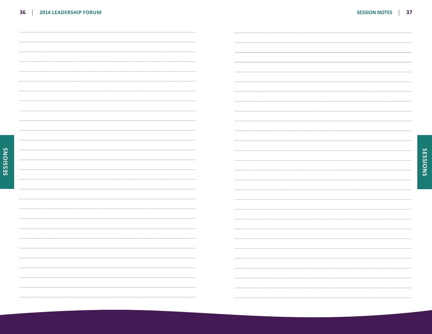**SESSION NOTES** 

 $37$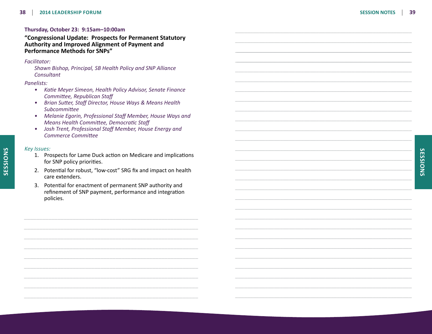# Thursday, October 23: 9:15am-10:00am

"Congressional Update: Prospects for Permanent Statutory Authority and Improved Alignment of Payment and **Performance Methods for SNPs"** 

# **Facilitator:**

Shawn Bishop, Principal, SB Health Policy and SNP Alliance Consultant

# Panelists:

- Katie Meyer Simeon, Health Policy Advisor, Senate Finance Committee, Republican Staff
- Brian Sutter, Staff Director, House Ways & Means Health Subcommittee
- Melanie Egorin, Professional Staff Member, House Ways and Means Health Committee, Democratic Staff
- Josh Trent, Professional Staff Member, House Energy and Commerce Committee

# **Key Issues:**

- 1. Prospects for Lame Duck action on Medicare and implications for SNP policy priorities.
- 2. Potential for robust, "low-cost" SRG fix and impact on health care extenders.
- 3. Potential for enactment of permanent SNP authority and refinement of SNP payment, performance and integration policies.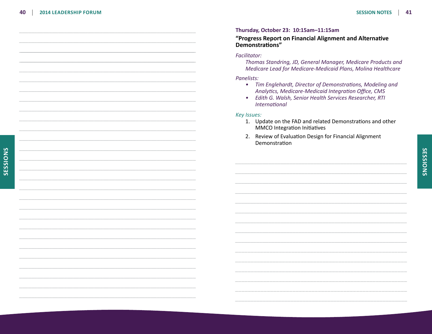| <b>Thur</b>                        |
|------------------------------------|
| "Pro                               |
| Dem                                |
| <b>Facil</b>                       |
| $\overline{\phantom{a}}$<br>$\int$ |
| Pane                               |
|                                    |
|                                    |
|                                    |
| Key I                              |
|                                    |
|                                    |
| Ź                                  |
|                                    |
|                                    |
|                                    |
|                                    |
| $\overline{\phantom{a}}$           |
|                                    |
|                                    |
|                                    |
|                                    |
|                                    |
|                                    |
|                                    |
| $\overline{\phantom{a}}$           |
|                                    |
| --                                 |
|                                    |
|                                    |
|                                    |

# rsday, October 23: 10:15am-11:15am

# **gress Report on Financial Alignment and Alternative** nonstrations"

# litator:

Thomas Standring, JD, General Manager, Medicare Products and Medicare Lead for Medicare-Medicaid Plans, Molina Healthcare

# elists:

- Tim Englehardt, Director of Demonstrations, Modeling and Analytics, Medicare-Medicaid Integration Office, CMS
- · Edith G. Walsh, Senior Health Services Researcher, RTI **International**

# Issues:

- 1. Update on the FAD and related Demonstrations and other MMCO Integration Initiatives
- 2. Review of Evaluation Design for Financial Alignment Demonstration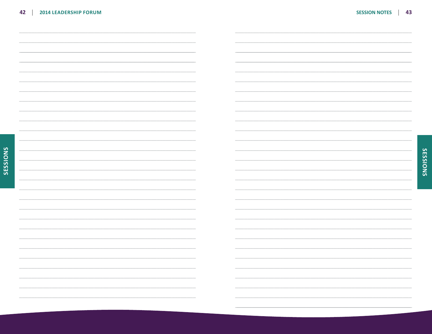| <b>SESSIONS</b>          |
|--------------------------|
|                          |
|                          |
|                          |
|                          |
|                          |
|                          |
|                          |
|                          |
|                          |
|                          |
|                          |
|                          |
|                          |
|                          |
|                          |
| $\overline{\phantom{a}}$ |
|                          |
|                          |
| $\sim$<br>$\sim$         |
| $\overline{\phantom{a}}$ |
|                          |

**SESSION NOTES** 

43

42

SESSIONS

**2014 LEADERSHIP FORUM**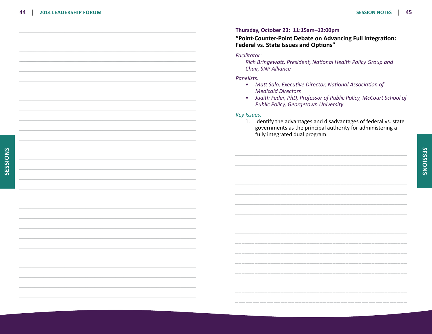$\overline{\phantom{a}}$ 

 $\overline{\phantom{a}}$  $\frac{1}{2}$ 

| Thursday, October 23: 11:15am-12:00pm                                                                                                                             |
|-------------------------------------------------------------------------------------------------------------------------------------------------------------------|
| "Point-Counter-Point Debate on Advancing Full Integration:<br>Federal vs. State Issues and Options"                                                               |
|                                                                                                                                                                   |
| Facilitator:<br>Rich Bringewatt, President, National Health Policy Group and                                                                                      |
| Chair, SNP Alliance                                                                                                                                               |
| Panelists:                                                                                                                                                        |
| • Matt Salo, Executive Director, National Association of<br><b>Medicaid Directors</b>                                                                             |
| Judith Feder, PhD, Professor of Public Policy, McCourt School of<br>$\bullet$<br>Public Policy, Georgetown University                                             |
|                                                                                                                                                                   |
| Key Issues:                                                                                                                                                       |
| 1. Identify the advantages and disadvantages of federal vs. state<br>governments as the principal authority for administering a<br>fully integrated dual program. |
|                                                                                                                                                                   |
|                                                                                                                                                                   |
|                                                                                                                                                                   |
|                                                                                                                                                                   |
|                                                                                                                                                                   |
|                                                                                                                                                                   |
|                                                                                                                                                                   |
|                                                                                                                                                                   |
|                                                                                                                                                                   |
|                                                                                                                                                                   |
|                                                                                                                                                                   |
|                                                                                                                                                                   |
|                                                                                                                                                                   |
|                                                                                                                                                                   |
|                                                                                                                                                                   |
|                                                                                                                                                                   |
|                                                                                                                                                                   |
|                                                                                                                                                                   |
|                                                                                                                                                                   |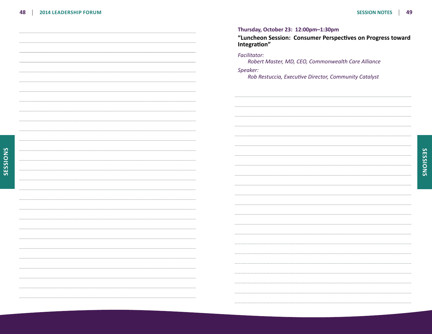|  |  |  |  | Thursday, October 23: 12:00pm-1:30pm |
|--|--|--|--|--------------------------------------|
|--|--|--|--|--------------------------------------|

"Luncheon Session: Consumer Perspectives on Progress toward Integration"

# Facilitator:

Robert Master, MD, CEO, Commonwealth Care Alliance

Speaker:

Rob Restuccia, Executive Director, Community Catalyst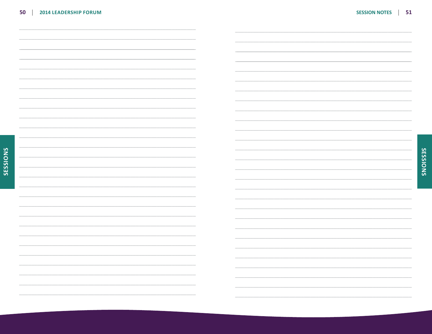| 2014 LEADERSHIP FORUM<br>50 | <b>SESSION NOTES</b><br>51 |
|-----------------------------|----------------------------|
|                             |                            |
|                             |                            |
|                             |                            |
|                             |                            |
|                             |                            |
|                             |                            |
|                             |                            |
|                             |                            |
|                             |                            |
|                             |                            |
|                             |                            |
|                             |                            |
|                             |                            |
|                             |                            |
|                             |                            |
|                             |                            |
|                             |                            |
|                             |                            |
|                             |                            |
|                             |                            |
|                             |                            |
|                             |                            |
|                             |                            |
|                             |                            |
|                             |                            |
|                             |                            |
|                             |                            |
|                             |                            |
|                             |                            |
|                             |                            |
| ________________            |                            |
|                             | $\overline{\phantom{0}}$   |
|                             | $\sim$                     |
|                             |                            |
|                             | $\overline{\phantom{0}}$   |
|                             | $\overline{\phantom{a}}$   |

SESSIONS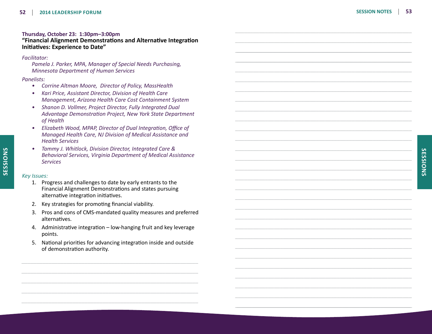# **Thursday, October 23: 1:30pm–3:00pm**

**"Financial Alignment Demonstrations and Alternative Integration Initiatives: Experience to Date"**

# *Facilitator:*

*Pamela J. Parker, MPA, Manager of Special Needs Purchasing, Minnesota Department of Human Services*

# *Panelists:*

- *• Corrine Altman Moore, Director of Policy, MassHealth*
- *• Kari Price, Assistant Director, Division of Health Care Management, Arizona Health Care Cost Containment System*
- *• Shanon D. Vollmer, Project Director, Fully Integrated Dual Advantage Demonstration Project, New York State Department of Health*
- *• Elizabeth Wood, MPAP, Director of Dual Integration, Office of Managed Health Care, NJ Division of Medical Assistance and Health Services*
- *• Tammy J. Whitlock, Division Director, Integrated Care & Behavioral Services, Virginia Department of Medical Assistance Services*

# *Key Issues:*

**SESSIONS**

SESSIONS

- 1. Progress and challenges to date by early entrants to the Financial Alignment Demonstrations and states pursuing alternative integration initiatives.
- 2. Key strategies for promoting financial viability.
- 3. Pros and cons of CMS-mandated quality measures and preferred alternatives.
- 4. Administrative integration low-hanging fruit and key leverage points.
- 5. National priorities for advancing integration inside and outside of demonstration authority.

*\_\_\_\_\_\_\_\_\_\_\_\_\_\_\_\_\_\_\_\_\_\_\_\_\_\_\_\_\_\_\_\_\_\_\_\_\_\_\_\_\_\_\_\_\_\_\_\_\_\_\_\_\_\_\_\_\_\_\_ \_\_\_\_\_\_\_\_\_\_\_\_\_\_\_\_\_\_\_\_\_\_\_\_\_\_\_\_\_\_\_\_\_\_\_\_\_\_\_\_\_\_\_\_\_\_\_\_\_\_\_\_\_\_\_\_\_\_\_ \_\_\_\_\_\_\_\_\_\_\_\_\_\_\_\_\_\_\_\_\_\_\_\_\_\_\_\_\_\_\_\_\_\_\_\_\_\_\_\_\_\_\_\_\_\_\_\_\_\_\_\_\_\_\_\_\_\_\_ \_\_\_\_\_\_\_\_\_\_\_\_\_\_\_\_\_\_\_\_\_\_\_\_\_\_\_\_\_\_\_\_\_\_\_\_\_\_\_\_\_\_\_\_\_\_\_\_\_\_\_\_\_\_\_\_\_\_\_ \_\_\_\_\_\_\_\_\_\_\_\_\_\_\_\_\_\_\_\_\_\_\_\_\_\_\_\_\_\_\_\_\_\_\_\_\_\_\_\_\_\_\_\_\_\_\_\_\_\_\_\_\_\_\_\_\_\_\_* *\_\_\_\_\_\_\_\_\_\_\_\_\_\_\_\_\_\_\_\_\_\_\_\_\_\_\_\_\_\_\_\_\_\_\_\_\_\_\_\_\_\_\_\_\_\_\_\_\_\_\_\_\_\_\_\_\_\_\_ \_\_\_\_\_\_\_\_\_\_\_\_\_\_\_\_\_\_\_\_\_\_\_\_\_\_\_\_\_\_\_\_\_\_\_\_\_\_\_\_\_\_\_\_\_\_\_\_\_\_\_\_\_\_\_\_\_\_\_ \_\_\_\_\_\_\_\_\_\_\_\_\_\_\_\_\_\_\_\_\_\_\_\_\_\_\_\_\_\_\_\_\_\_\_\_\_\_\_\_\_\_\_\_\_\_\_\_\_\_\_\_\_\_\_\_\_\_\_\_\_\_\_\_\_\_\_\_\_\_\_\_\_\_\_\_\_\_\_\_\_\_\_\_\_\_\_\_\_\_\_\_\_\_\_\_\_\_\_\_\_\_\_\_\_\_\_\_\_\_\_\_\_\_\_\_\_\_\_\_\_\_\_\_\_\_\_\_\_\_\_\_\_\_\_\_\_\_\_\_\_\_\_\_\_\_\_\_\_\_\_\_\_\_\_\_\_\_\_\_\_ \_\_\_\_\_\_\_\_\_\_\_\_\_\_\_\_\_\_\_\_\_\_\_\_\_\_\_\_\_\_\_\_\_\_\_\_\_\_\_\_\_\_\_\_\_\_\_\_\_\_\_\_\_\_\_\_\_\_\_\_\_\_\_\_\_\_\_\_\_\_\_\_\_\_\_\_\_\_\_\_\_\_\_\_\_\_\_\_\_\_\_\_\_\_\_\_\_\_\_\_\_\_\_\_\_\_\_\_\_\_\_\_\_\_\_\_\_\_\_\_\_\_\_\_\_\_\_\_\_\_\_\_\_\_\_\_\_\_\_\_\_\_\_\_\_\_\_\_\_\_\_\_\_\_\_\_\_\_\_\_\_ \_\_\_\_\_\_\_\_\_\_\_\_\_\_\_\_\_\_\_\_\_\_\_\_\_\_\_\_\_\_\_\_\_\_\_\_\_\_\_\_\_\_\_\_\_\_\_\_\_\_\_\_\_\_\_\_\_\_\_ \_\_\_\_\_\_\_\_\_\_\_\_\_\_\_\_\_\_\_\_\_\_\_\_\_\_\_\_\_\_\_\_\_\_\_\_\_\_\_\_\_\_\_\_\_\_\_\_\_\_\_\_\_\_\_\_\_\_\_ \_\_\_\_\_\_\_\_\_\_\_\_\_\_\_\_\_\_\_\_\_\_\_\_\_\_\_\_\_\_\_\_\_\_\_\_\_\_\_\_\_\_\_\_\_\_\_\_\_\_\_\_\_\_\_\_\_\_\_ \_\_\_\_\_\_\_\_\_\_\_\_\_\_\_\_\_\_\_\_\_\_\_\_\_\_\_\_\_\_\_\_\_\_\_\_\_\_\_\_\_\_\_\_\_\_\_\_\_\_\_\_\_\_\_\_\_\_\_ \_\_\_\_\_\_\_\_\_\_\_\_\_\_\_\_\_\_\_\_\_\_\_\_\_\_\_\_\_\_\_\_\_\_\_\_\_\_\_\_\_\_\_\_\_\_\_\_\_\_\_\_\_\_\_\_\_\_\_ \_\_\_\_\_\_\_\_\_\_\_\_\_\_\_\_\_\_\_\_\_\_\_\_\_\_\_\_\_\_\_\_\_\_\_\_\_\_\_\_\_\_\_\_\_\_\_\_\_\_\_\_\_\_\_\_\_\_\_ \_\_\_\_\_\_\_\_\_\_\_\_\_\_\_\_\_\_\_\_\_\_\_\_\_\_\_\_\_\_\_\_\_\_\_\_\_\_\_\_\_\_\_\_\_\_\_\_\_\_\_\_\_\_\_\_\_\_\_ \_\_\_\_\_\_\_\_\_\_\_\_\_\_\_\_\_\_\_\_\_\_\_\_\_\_\_\_\_\_\_\_\_\_\_\_\_\_\_\_\_\_\_\_\_\_\_\_\_\_\_\_\_\_\_\_\_\_\_ \_\_\_\_\_\_\_\_\_\_\_\_\_\_\_\_\_\_\_\_\_\_\_\_\_\_\_\_\_\_\_\_\_\_\_\_\_\_\_\_\_\_\_\_\_\_\_\_\_\_\_\_\_\_\_\_\_\_\_ \_\_\_\_\_\_\_\_\_\_\_\_\_\_\_\_\_\_\_\_\_\_\_\_\_\_\_\_\_\_\_\_\_\_\_\_\_\_\_\_\_\_\_\_\_\_\_\_\_\_\_\_\_\_\_\_\_\_\_ \_\_\_\_\_\_\_\_\_\_\_\_\_\_\_\_\_\_\_\_\_\_\_\_\_\_\_\_\_\_\_\_\_\_\_\_\_\_\_\_\_\_\_\_\_\_\_\_\_\_\_\_\_\_\_\_\_\_\_ \_\_\_\_\_\_\_\_\_\_\_\_\_\_\_\_\_\_\_\_\_\_\_\_\_\_\_\_\_\_\_\_\_\_\_\_\_\_\_\_\_\_\_\_\_\_\_\_\_\_\_\_\_\_\_\_\_\_\_ \_\_\_\_\_\_\_\_\_\_\_\_\_\_\_\_\_\_\_\_\_\_\_\_\_\_\_\_\_\_\_\_\_\_\_\_\_\_\_\_\_\_\_\_\_\_\_\_\_\_\_\_\_\_\_\_\_\_\_ \_\_\_\_\_\_\_\_\_\_\_\_\_\_\_\_\_\_\_\_\_\_\_\_\_\_\_\_\_\_\_\_\_\_\_\_\_\_\_\_\_\_\_\_\_\_\_\_\_\_\_\_\_\_\_\_\_\_\_ \_\_\_\_\_\_\_\_\_\_\_\_\_\_\_\_\_\_\_\_\_\_\_\_\_\_\_\_\_\_\_\_\_\_\_\_\_\_\_\_\_\_\_\_\_\_\_\_\_\_\_\_\_\_\_\_\_\_\_ \_\_\_\_\_\_\_\_\_\_\_\_\_\_\_\_\_\_\_\_\_\_\_\_\_\_\_\_\_\_\_\_\_\_\_\_\_\_\_\_\_\_\_\_\_\_\_\_\_\_\_\_\_\_\_\_\_\_\_ \_\_\_\_\_\_\_\_\_\_\_\_\_\_\_\_\_\_\_\_\_\_\_\_\_\_\_\_\_\_\_\_\_\_\_\_\_\_\_\_\_\_\_\_\_\_\_\_\_\_\_\_\_\_\_\_\_\_\_ \_\_\_\_\_\_\_\_\_\_\_\_\_\_\_\_\_\_\_\_\_\_\_\_\_\_\_\_\_\_\_\_\_\_\_\_\_\_\_\_\_\_\_\_\_\_\_\_\_\_\_\_\_\_\_\_\_\_\_ \_\_\_\_\_\_\_\_\_\_\_\_\_\_\_\_\_\_\_\_\_\_\_\_\_\_\_\_\_\_\_\_\_\_\_\_\_\_\_\_\_\_\_\_\_\_\_\_\_\_\_\_\_\_\_\_\_\_\_ \_\_\_\_\_\_\_\_\_\_\_\_\_\_\_\_\_\_\_\_\_\_\_\_\_\_\_\_\_\_\_\_\_\_\_\_\_\_\_\_\_\_\_\_\_\_\_\_\_\_\_\_\_\_\_\_\_\_\_ \_\_\_\_\_\_\_\_\_\_\_\_\_\_\_\_\_\_\_\_\_\_\_\_\_\_\_\_\_\_\_\_\_\_\_\_\_\_\_\_\_\_\_\_\_\_\_\_\_\_\_\_\_\_\_\_\_\_\_ \_\_\_\_\_\_\_\_\_\_\_\_\_\_\_\_\_\_\_\_\_\_\_\_\_\_\_\_\_\_\_\_\_\_\_\_\_\_\_\_\_\_\_\_\_\_\_\_\_\_\_\_\_\_\_\_\_\_\_ \_\_\_\_\_\_\_\_\_\_\_\_\_\_\_\_\_\_\_\_\_\_\_\_\_\_\_\_\_\_\_\_\_\_\_\_\_\_\_\_\_\_\_\_\_\_\_\_\_\_\_\_\_\_\_\_\_\_\_ \_\_\_\_\_\_\_\_\_\_\_\_\_\_\_\_\_\_\_\_\_\_\_\_\_\_\_\_\_\_\_\_\_\_\_\_\_\_\_\_\_\_\_\_\_\_\_\_\_\_\_\_\_\_\_\_\_\_\_ \_\_\_\_\_\_\_\_\_\_\_\_\_\_\_\_\_\_\_\_\_\_\_\_\_\_\_\_\_\_\_\_\_\_\_\_\_\_\_\_\_\_\_\_\_\_\_\_\_\_\_\_\_\_\_\_\_\_\_\_\_\_\_\_\_\_\_\_\_\_\_\_\_\_\_\_\_\_\_\_\_\_\_\_\_\_\_\_\_\_\_\_\_\_\_\_\_\_\_\_\_\_\_\_\_\_\_\_\_\_\_\_\_\_\_\_\_\_\_\_\_\_\_\_\_\_\_\_\_\_\_\_\_\_\_\_\_\_\_\_\_\_\_\_\_\_\_\_\_\_\_\_\_\_\_\_*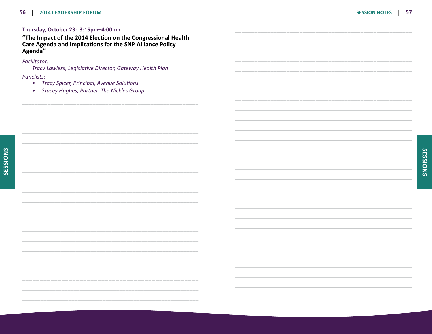#### 56 **2014 LEADERSHIP FORUM**

# Thursday, October 23: 3:15pm-4:00pm

"The Impact of the 2014 Election on the Congressional Health<br>Care Agenda and Implications for the SNP Alliance Policy<br>Agenda"

# Facilitator:

Tracy Lawless, Legislative Director, Gateway Health Plan

# Panelists:

- Tracy Spicer, Principal, Avenue Solutions
- Stacey Hughes, Partner, The Nickles Group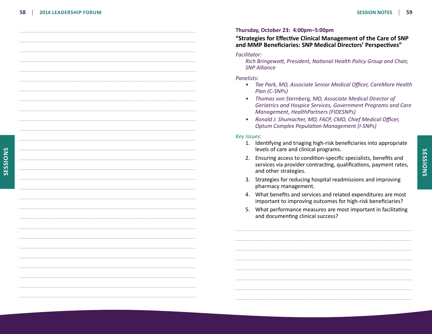SESSIONS

|                                                                                                                  | Thursday, October 23: 4:00pm-5:00pm                                                                                                                                                                                                                                                                                                                                                                                |
|------------------------------------------------------------------------------------------------------------------|--------------------------------------------------------------------------------------------------------------------------------------------------------------------------------------------------------------------------------------------------------------------------------------------------------------------------------------------------------------------------------------------------------------------|
|                                                                                                                  | "Strategies for Effective Clinical Management of the Care of SNP<br>and MMP Beneficiaries: SNP Medical Directors' Perspectives"                                                                                                                                                                                                                                                                                    |
|                                                                                                                  | Facilitator:<br>Rich Bringewatt, President, National Health Policy Group and Chair,<br><b>SNP Alliance</b>                                                                                                                                                                                                                                                                                                         |
|                                                                                                                  | Panelists:<br>Tae Park, MD, Associate Senior Medical Officer, CareMore Health<br>$\bullet$<br>Plan (C-SNPs)<br>Thomas von Sternberg, MD, Associate Medical Director of<br>$\bullet$<br>Geriatrics and Hospice Services, Government Programs and Care<br>Management, HealthPartners (FIDESNPs)<br>Ronald J. Shumacher, MD, FACP, CMD, Chief Medical Officer,<br><b>Optum Complex Population Management (I-SNPs)</b> |
|                                                                                                                  | <b>Key Issues:</b><br>1. Identifying and triaging high-risk beneficiaries into appropriate<br>levels of care and clinical programs.                                                                                                                                                                                                                                                                                |
|                                                                                                                  | 2. Ensuring access to condition-specific specialists, benefits and<br>services via provider contracting, qualifications, payment rates,<br>and other strategies.                                                                                                                                                                                                                                                   |
|                                                                                                                  | 3. Strategies for reducing hospital readmissions and improving<br>pharmacy management.                                                                                                                                                                                                                                                                                                                             |
|                                                                                                                  | 4. What benefits and services and related expenditures are most<br>important to improving outcomes for high-risk beneficiaries?                                                                                                                                                                                                                                                                                    |
|                                                                                                                  | 5. What performance measures are most important in facilitating<br>and documenting clinical success?                                                                                                                                                                                                                                                                                                               |
|                                                                                                                  |                                                                                                                                                                                                                                                                                                                                                                                                                    |
|                                                                                                                  |                                                                                                                                                                                                                                                                                                                                                                                                                    |
|                                                                                                                  |                                                                                                                                                                                                                                                                                                                                                                                                                    |
|                                                                                                                  |                                                                                                                                                                                                                                                                                                                                                                                                                    |
|                                                                                                                  |                                                                                                                                                                                                                                                                                                                                                                                                                    |
|                                                                                                                  |                                                                                                                                                                                                                                                                                                                                                                                                                    |
|                                                                                                                  |                                                                                                                                                                                                                                                                                                                                                                                                                    |
| and the control of the control of the control of the control of the control of the control of the control of the |                                                                                                                                                                                                                                                                                                                                                                                                                    |

# **Thursday, October 23: 4:00pm–5:00pm**

# **"Strategies for Effective Clinical Management of the Care of SNP and MMP Beneficiaries: SNP Medical Directors' Perspectives"**

# *Facilitator:*

# *Panelists:*

- *• Tae Park, MD, Associate Senior Medical Officer, CareMore Health Plan (C-SNPs)*
- *• Thomas von Sternberg, MD, Associate Medical Director of Geriatrics and Hospice Services, Government Programs and Care Management, HealthPartners (FIDESNPs)*
- *• Ronald J. Shumacher, MD, FACP, CMD, Chief Medical Officer, Optum Complex Population Management (I-SNPs)*

# *Key Issues:*

- 1. Identifying and triaging high-risk beneficiaries into appropriate levels of care and clinical programs.
- 2. Ensuring access to condition-specific specialists, benefits and services via provider contracting, qualifications, payment rates, and other strategies.
- 3. Strategies for reducing hospital readmissions and improving pharmacy management.
- 4. What benefits and services and related expenditures are most important to improving outcomes for high-risk beneficiaries?
- 5. What performance measures are most important in facilitating and documenting clinical success?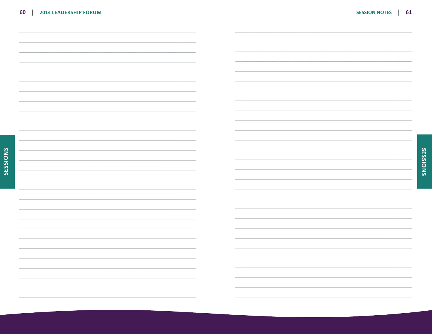|                                                                                                                                                                                                                                                                                                                                                                                                                                                                            | $\overline{\phantom{a}}$<br>$\sim$                                                                                                                                                                                                                                                                                                                                                                                                                                    |
|----------------------------------------------------------------------------------------------------------------------------------------------------------------------------------------------------------------------------------------------------------------------------------------------------------------------------------------------------------------------------------------------------------------------------------------------------------------------------|-----------------------------------------------------------------------------------------------------------------------------------------------------------------------------------------------------------------------------------------------------------------------------------------------------------------------------------------------------------------------------------------------------------------------------------------------------------------------|
|                                                                                                                                                                                                                                                                                                                                                                                                                                                                            | $\sim$ $\sim$                                                                                                                                                                                                                                                                                                                                                                                                                                                         |
|                                                                                                                                                                                                                                                                                                                                                                                                                                                                            |                                                                                                                                                                                                                                                                                                                                                                                                                                                                       |
| <u> 1989 - Johann Barnett, fransk politiker (d. 1989)</u>                                                                                                                                                                                                                                                                                                                                                                                                                  | $\begin{tabular}{ccccccccc} \multicolumn{2}{c }{\textbf{1} & \multicolumn{2}{c }{\textbf{2} & \multicolumn{2}{c }{\textbf{3} & \multicolumn{2}{c }{\textbf{4} & \multicolumn{2}{c }{\textbf{5} & \multicolumn{2}{c }{\textbf{6} & \multicolumn{2}{c }{\textbf{6} & \multicolumn{2}{c }{\textbf{6} & \multicolumn{2}{c }{\textbf{6} & \multicolumn{2}{c }{\textbf{6} & \multicolumn{2}{c }{\textbf{6} & \multicolumn{2}{c }{\textbf{6} & \multicolumn{2$<br>$\sim$ $-$ |
|                                                                                                                                                                                                                                                                                                                                                                                                                                                                            |                                                                                                                                                                                                                                                                                                                                                                                                                                                                       |
| $\frac{1}{2} \left( \frac{1}{2} \right) \left( \frac{1}{2} \right) \left( \frac{1}{2} \right) \left( \frac{1}{2} \right) \left( \frac{1}{2} \right) \left( \frac{1}{2} \right) \left( \frac{1}{2} \right) \left( \frac{1}{2} \right) \left( \frac{1}{2} \right) \left( \frac{1}{2} \right) \left( \frac{1}{2} \right) \left( \frac{1}{2} \right) \left( \frac{1}{2} \right) \left( \frac{1}{2} \right) \left( \frac{1}{2} \right) \left( \frac{1}{2} \right) \left( \frac$ | $\sim$                                                                                                                                                                                                                                                                                                                                                                                                                                                                |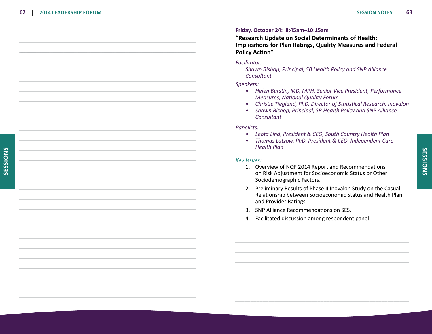# Friday, October 24: 8:45am-10:15am

"Research Update on Social Determinants of Health: Implications for Plan Ratings, Quality Measures and Federal **Policy Action"** 

# **Facilitator:**

Shawn Bishop, Principal, SB Health Policy and SNP Alliance Consultant

# Speakers:

- Helen Burstin, MD, MPH, Senior Vice President, Performance **Measures, National Quality Forum**
- Christie Tiegland, PhD, Director of Statistical Research, Inovalon
- Shawn Bishop, Principal, SB Health Policy and SNP Alliance Consultant

# Panelists:

- Leota Lind, President & CEO, South Country Health Plan
- Thomas Lutzow, PhD, President & CEO, Independent Care **Health Plan**

# **Key Issues:**

- 1. Overview of NQF 2014 Report and Recommendations on Risk Adjustment for Socioeconomic Status or Other Sociodemographic Factors.
- 2. Preliminary Results of Phase II Inovalon Study on the Casual Relationship between Socioeconomic Status and Health Plan and Provider Ratings
- 3. SNP Alliance Recommendations on SES.
- 4. Facilitated discussion among respondent panel.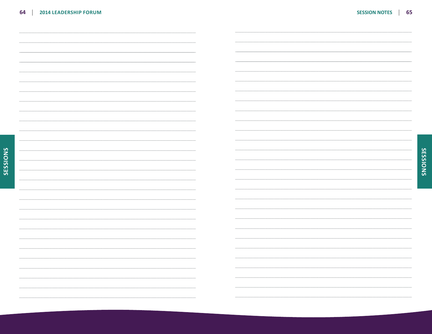| $\sim$                   |
|--------------------------|
|                          |
| $\overline{\phantom{a}}$ |
|                          |
| $\sim$ 100 $\mu$         |
| $\overline{\phantom{a}}$ |
|                          |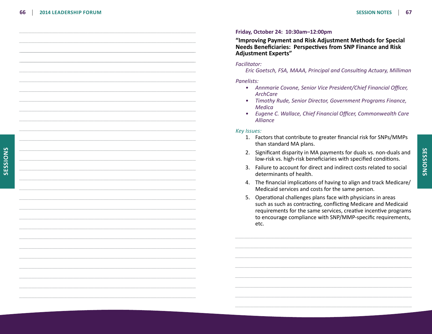SESSIONS **SESSIONS**

*\_\_\_\_\_\_\_\_\_\_\_\_\_\_\_\_\_\_\_\_\_\_\_\_\_\_\_\_\_\_\_\_\_\_\_\_\_\_\_\_\_\_\_\_\_\_\_\_\_\_\_\_\_\_\_\_\_\_\_ \_\_\_\_\_\_\_\_\_\_\_\_\_\_\_\_\_\_\_\_\_\_\_\_\_\_\_\_\_\_\_\_\_\_\_\_\_\_\_\_\_\_\_\_\_\_\_\_\_\_\_\_\_\_\_\_\_\_\_ \_\_\_\_\_\_\_\_\_\_\_\_\_\_\_\_\_\_\_\_\_\_\_\_\_\_\_\_\_\_\_\_\_\_\_\_\_\_\_\_\_\_\_\_\_\_\_\_\_\_\_\_\_\_\_\_\_\_\_\_\_\_\_\_\_\_\_\_\_\_\_\_\_\_\_\_\_\_\_\_\_\_\_\_\_\_\_\_\_\_\_\_\_\_\_\_\_\_\_\_\_\_\_\_\_\_\_\_\_\_\_\_\_\_\_\_\_\_\_\_\_\_\_\_\_\_\_\_\_\_\_\_\_\_\_\_\_\_\_\_\_\_\_\_\_\_\_\_\_\_\_\_\_\_\_\_\_\_\_\_\_ \_\_\_\_\_\_\_\_\_\_\_\_\_\_\_\_\_\_\_\_\_\_\_\_\_\_\_\_\_\_\_\_\_\_\_\_\_\_\_\_\_\_\_\_\_\_\_\_\_\_\_\_\_\_\_\_\_\_\_\_\_\_\_\_\_\_\_\_\_\_\_\_\_\_\_\_\_\_\_\_\_\_\_\_\_\_\_\_\_\_\_\_\_\_\_\_\_\_\_\_\_\_\_\_\_\_\_\_\_\_\_\_\_\_\_\_\_\_\_\_\_\_\_\_\_\_\_\_\_\_\_\_\_\_\_\_\_\_\_\_\_\_\_\_\_\_\_\_\_\_\_\_\_\_\_\_\_\_\_\_\_ \_\_\_\_\_\_\_\_\_\_\_\_\_\_\_\_\_\_\_\_\_\_\_\_\_\_\_\_\_\_\_\_\_\_\_\_\_\_\_\_\_\_\_\_\_\_\_\_\_\_\_\_\_\_\_\_\_\_\_ \_\_\_\_\_\_\_\_\_\_\_\_\_\_\_\_\_\_\_\_\_\_\_\_\_\_\_\_\_\_\_\_\_\_\_\_\_\_\_\_\_\_\_\_\_\_\_\_\_\_\_\_\_\_\_\_\_\_\_ \_\_\_\_\_\_\_\_\_\_\_\_\_\_\_\_\_\_\_\_\_\_\_\_\_\_\_\_\_\_\_\_\_\_\_\_\_\_\_\_\_\_\_\_\_\_\_\_\_\_\_\_\_\_\_\_\_\_\_ \_\_\_\_\_\_\_\_\_\_\_\_\_\_\_\_\_\_\_\_\_\_\_\_\_\_\_\_\_\_\_\_\_\_\_\_\_\_\_\_\_\_\_\_\_\_\_\_\_\_\_\_\_\_\_\_\_\_\_ \_\_\_\_\_\_\_\_\_\_\_\_\_\_\_\_\_\_\_\_\_\_\_\_\_\_\_\_\_\_\_\_\_\_\_\_\_\_\_\_\_\_\_\_\_\_\_\_\_\_\_\_\_\_\_\_\_\_\_ \_\_\_\_\_\_\_\_\_\_\_\_\_\_\_\_\_\_\_\_\_\_\_\_\_\_\_\_\_\_\_\_\_\_\_\_\_\_\_\_\_\_\_\_\_\_\_\_\_\_\_\_\_\_\_\_\_\_\_ \_\_\_\_\_\_\_\_\_\_\_\_\_\_\_\_\_\_\_\_\_\_\_\_\_\_\_\_\_\_\_\_\_\_\_\_\_\_\_\_\_\_\_\_\_\_\_\_\_\_\_\_\_\_\_\_\_\_\_ \_\_\_\_\_\_\_\_\_\_\_\_\_\_\_\_\_\_\_\_\_\_\_\_\_\_\_\_\_\_\_\_\_\_\_\_\_\_\_\_\_\_\_\_\_\_\_\_\_\_\_\_\_\_\_\_\_\_\_ \_\_\_\_\_\_\_\_\_\_\_\_\_\_\_\_\_\_\_\_\_\_\_\_\_\_\_\_\_\_\_\_\_\_\_\_\_\_\_\_\_\_\_\_\_\_\_\_\_\_\_\_\_\_\_\_\_\_\_ \_\_\_\_\_\_\_\_\_\_\_\_\_\_\_\_\_\_\_\_\_\_\_\_\_\_\_\_\_\_\_\_\_\_\_\_\_\_\_\_\_\_\_\_\_\_\_\_\_\_\_\_\_\_\_\_\_\_\_ \_\_\_\_\_\_\_\_\_\_\_\_\_\_\_\_\_\_\_\_\_\_\_\_\_\_\_\_\_\_\_\_\_\_\_\_\_\_\_\_\_\_\_\_\_\_\_\_\_\_\_\_\_\_\_\_\_\_\_ \_\_\_\_\_\_\_\_\_\_\_\_\_\_\_\_\_\_\_\_\_\_\_\_\_\_\_\_\_\_\_\_\_\_\_\_\_\_\_\_\_\_\_\_\_\_\_\_\_\_\_\_\_\_\_\_\_\_\_ \_\_\_\_\_\_\_\_\_\_\_\_\_\_\_\_\_\_\_\_\_\_\_\_\_\_\_\_\_\_\_\_\_\_\_\_\_\_\_\_\_\_\_\_\_\_\_\_\_\_\_\_\_\_\_\_\_\_\_ \_\_\_\_\_\_\_\_\_\_\_\_\_\_\_\_\_\_\_\_\_\_\_\_\_\_\_\_\_\_\_\_\_\_\_\_\_\_\_\_\_\_\_\_\_\_\_\_\_\_\_\_\_\_\_\_\_\_\_ \_\_\_\_\_\_\_\_\_\_\_\_\_\_\_\_\_\_\_\_\_\_\_\_\_\_\_\_\_\_\_\_\_\_\_\_\_\_\_\_\_\_\_\_\_\_\_\_\_\_\_\_\_\_\_\_\_\_\_ \_\_\_\_\_\_\_\_\_\_\_\_\_\_\_\_\_\_\_\_\_\_\_\_\_\_\_\_\_\_\_\_\_\_\_\_\_\_\_\_\_\_\_\_\_\_\_\_\_\_\_\_\_\_\_\_\_\_\_ \_\_\_\_\_\_\_\_\_\_\_\_\_\_\_\_\_\_\_\_\_\_\_\_\_\_\_\_\_\_\_\_\_\_\_\_\_\_\_\_\_\_\_\_\_\_\_\_\_\_\_\_\_\_\_\_\_\_\_ \_\_\_\_\_\_\_\_\_\_\_\_\_\_\_\_\_\_\_\_\_\_\_\_\_\_\_\_\_\_\_\_\_\_\_\_\_\_\_\_\_\_\_\_\_\_\_\_\_\_\_\_\_\_\_\_\_\_\_ \_\_\_\_\_\_\_\_\_\_\_\_\_\_\_\_\_\_\_\_\_\_\_\_\_\_\_\_\_\_\_\_\_\_\_\_\_\_\_\_\_\_\_\_\_\_\_\_\_\_\_\_\_\_\_\_\_\_\_ \_\_\_\_\_\_\_\_\_\_\_\_\_\_\_\_\_\_\_\_\_\_\_\_\_\_\_\_\_\_\_\_\_\_\_\_\_\_\_\_\_\_\_\_\_\_\_\_\_\_\_\_\_\_\_\_\_\_\_ \_\_\_\_\_\_\_\_\_\_\_\_\_\_\_\_\_\_\_\_\_\_\_\_\_\_\_\_\_\_\_\_\_\_\_\_\_\_\_\_\_\_\_\_\_\_\_\_\_\_\_\_\_\_\_\_\_\_\_ \_\_\_\_\_\_\_\_\_\_\_\_\_\_\_\_\_\_\_\_\_\_\_\_\_\_\_\_\_\_\_\_\_\_\_\_\_\_\_\_\_\_\_\_\_\_\_\_\_\_\_\_\_\_\_\_\_\_\_ \_\_\_\_\_\_\_\_\_\_\_\_\_\_\_\_\_\_\_\_\_\_\_\_\_\_\_\_\_\_\_\_\_\_\_\_\_\_\_\_\_\_\_\_\_\_\_\_\_\_\_\_\_\_\_\_\_\_\_ \_\_\_\_\_\_\_\_\_\_\_\_\_\_\_\_\_\_\_\_\_\_\_\_\_\_\_\_\_\_\_\_\_\_\_\_\_\_\_\_\_\_\_\_\_\_\_\_\_\_\_\_\_\_\_\_\_\_\_*

# **Friday, October 24: 10:30am–12:00pm**

**"Improving Payment and Risk Adjustment Methods for Special Needs Beneficiaries: Perspectives from SNP Finance and Risk Adjustment Experts"**

# *Facilitator:*

*Eric Goetsch, FSA, MAAA, Principal and Consulting Actuary, Milliman*

# *Panelists:*

- *• Annmarie Covone, Senior Vice President/Chief Financial Officer, ArchCare*
- *• Timothy Rude, Senior Director, Government Programs Finance, Medica*
- *• Eugene C. Wallace, Chief Financial Officer, Commonwealth Care Alliance*

# *Key Issues:*

- 1. Factors that contribute to greater financial risk for SNPs/MMPs than standard MA plans.
- 2. Significant disparity in MA payments for duals vs. non-duals and low-risk vs. high-risk beneficiaries with specified conditions.
- 3. Failure to account for direct and indirect costs related to social determinants of health.
- 4. The financial implications of having to align and track Medicare/ Medicaid services and costs for the same person.
- 5. Operational challenges plans face with physicians in areas such as such as contracting, conflicting Medicare and Medicaid requirements for the same services, creative incentive programs to encourage compliance with SNP/MMP-specific requirements, etc.

*\_\_\_\_\_\_\_\_\_\_\_\_\_\_\_\_\_\_\_\_\_\_\_\_\_\_\_\_\_\_\_\_\_\_\_\_\_\_\_\_\_\_\_\_\_\_\_\_\_\_\_\_\_\_\_\_\_\_\_ \_\_\_\_\_\_\_\_\_\_\_\_\_\_\_\_\_\_\_\_\_\_\_\_\_\_\_\_\_\_\_\_\_\_\_\_\_\_\_\_\_\_\_\_\_\_\_\_\_\_\_\_\_\_\_\_\_\_\_ \_\_\_\_\_\_\_\_\_\_\_\_\_\_\_\_\_\_\_\_\_\_\_\_\_\_\_\_\_\_\_\_\_\_\_\_\_\_\_\_\_\_\_\_\_\_\_\_\_\_\_\_\_\_\_\_\_\_\_ \_\_\_\_\_\_\_\_\_\_\_\_\_\_\_\_\_\_\_\_\_\_\_\_\_\_\_\_\_\_\_\_\_\_\_\_\_\_\_\_\_\_\_\_\_\_\_\_\_\_\_\_\_\_\_\_\_\_\_ \_\_\_\_\_\_\_\_\_\_\_\_\_\_\_\_\_\_\_\_\_\_\_\_\_\_\_\_\_\_\_\_\_\_\_\_\_\_\_\_\_\_\_\_\_\_\_\_\_\_\_\_\_\_\_\_\_\_\_ \_\_\_\_\_\_\_\_\_\_\_\_\_\_\_\_\_\_\_\_\_\_\_\_\_\_\_\_\_\_\_\_\_\_\_\_\_\_\_\_\_\_\_\_\_\_\_\_\_\_\_\_\_\_\_\_\_\_\_ \_\_\_\_\_\_\_\_\_\_\_\_\_\_\_\_\_\_\_\_\_\_\_\_\_\_\_\_\_\_\_\_\_\_\_\_\_\_\_\_\_\_\_\_\_\_\_\_\_\_\_\_\_\_\_\_\_\_\_ \_\_\_\_\_\_\_\_\_\_\_\_\_\_\_\_\_\_\_\_\_\_\_\_\_\_\_\_\_\_\_\_\_\_\_\_\_\_\_\_\_\_\_\_\_\_\_\_\_\_\_\_\_\_\_\_\_\_\_*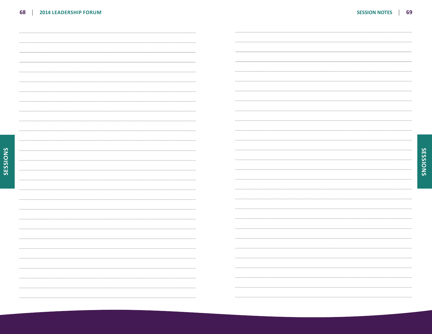| $\sim$                                                                                                                                                                                                                                                                                                                                                                                                                                                                     |                          |
|----------------------------------------------------------------------------------------------------------------------------------------------------------------------------------------------------------------------------------------------------------------------------------------------------------------------------------------------------------------------------------------------------------------------------------------------------------------------------|--------------------------|
| $\frac{1}{2} \left( \frac{1}{2} \right) \left( \frac{1}{2} \right) \left( \frac{1}{2} \right) \left( \frac{1}{2} \right) \left( \frac{1}{2} \right) \left( \frac{1}{2} \right) \left( \frac{1}{2} \right) \left( \frac{1}{2} \right) \left( \frac{1}{2} \right) \left( \frac{1}{2} \right) \left( \frac{1}{2} \right) \left( \frac{1}{2} \right) \left( \frac{1}{2} \right) \left( \frac{1}{2} \right) \left( \frac{1}{2} \right) \left( \frac{1}{2} \right) \left( \frac$ | $\overline{\phantom{a}}$ |
|                                                                                                                                                                                                                                                                                                                                                                                                                                                                            |                          |
| and the control                                                                                                                                                                                                                                                                                                                                                                                                                                                            |                          |
|                                                                                                                                                                                                                                                                                                                                                                                                                                                                            |                          |
|                                                                                                                                                                                                                                                                                                                                                                                                                                                                            |                          |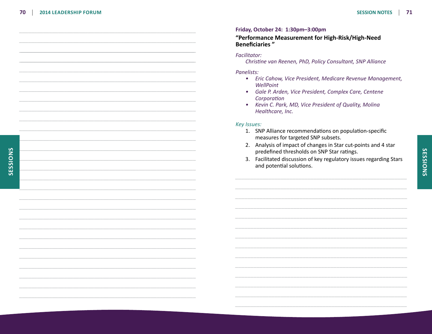| <b>Frida</b>             |
|--------------------------|
| "Per                     |
| <b>Ben</b>               |
| Facil<br>$\epsilon$      |
|                          |
| Pane                     |
|                          |
|                          |
|                          |
|                          |
| Key I                    |
|                          |
|                          |
|                          |
| 3                        |
|                          |
|                          |
|                          |
|                          |
| $\overline{\phantom{a}}$ |
|                          |
| ---                      |
|                          |
|                          |
|                          |
| ---                      |
|                          |
| $\sim$                   |
|                          |
|                          |

# ay, October 24: 1:30pm-3:00pm

# rformance Measurement for High-Risk/High-Need eficiaries"

# litator:

Christine van Reenen, PhD, Policy Consultant, SNP Alliance

# elists:

- Eric Cahow, Vice President, Medicare Revenue Management, WellPoint
- Gale P. Arden, Vice President, Complex Care, Centene Corporation
- Kevin C. Park, MD, Vice President of Quality, Molina Healthcare, Inc.

# **Issues:**

- 1. SNP Alliance recommendations on population-specific measures for targeted SNP subsets.
- 2. Analysis of impact of changes in Star cut-points and 4 star predefined thresholds on SNP Star ratings.
- 3. Facilitated discussion of key regulatory issues regarding Stars and potential solutions.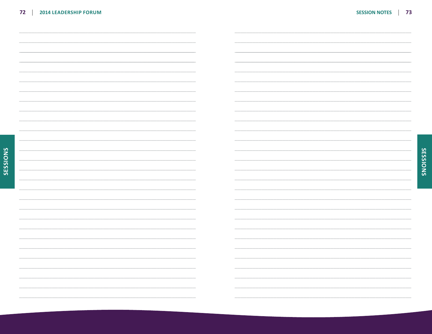| $\overline{\phantom{a}}$ |                                                                                                                                                                                                                                                                                                                                                                                                                                                                                      |
|--------------------------|--------------------------------------------------------------------------------------------------------------------------------------------------------------------------------------------------------------------------------------------------------------------------------------------------------------------------------------------------------------------------------------------------------------------------------------------------------------------------------------|
| $\overline{\phantom{a}}$ |                                                                                                                                                                                                                                                                                                                                                                                                                                                                                      |
|                          |                                                                                                                                                                                                                                                                                                                                                                                                                                                                                      |
| $\overline{\phantom{a}}$ | $\overline{\phantom{0}}$<br>$\hspace{0.1mm}$                                                                                                                                                                                                                                                                                                                                                                                                                                         |
|                          | $\sim$<br>$\frac{1}{2} \left( \frac{1}{2} \right) \left( \frac{1}{2} \right) \left( \frac{1}{2} \right) \left( \frac{1}{2} \right) \left( \frac{1}{2} \right) \left( \frac{1}{2} \right) \left( \frac{1}{2} \right) \left( \frac{1}{2} \right) \left( \frac{1}{2} \right) \left( \frac{1}{2} \right) \left( \frac{1}{2} \right) \left( \frac{1}{2} \right) \left( \frac{1}{2} \right) \left( \frac{1}{2} \right) \left( \frac{1}{2} \right) \left( \frac{1}{2} \right) \left( \frac$ |
|                          |                                                                                                                                                                                                                                                                                                                                                                                                                                                                                      |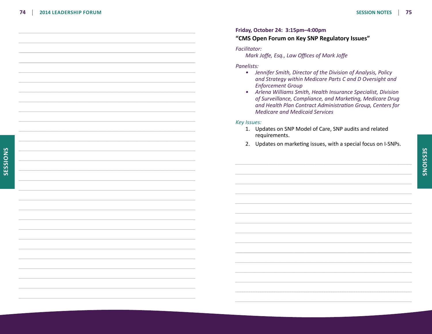$\overline{\phantom{a}}$  $\frac{1}{2} \left( \frac{1}{2} \right) \left( \frac{1}{2} \right) \left( \frac{1}{2} \right) \left( \frac{1}{2} \right) \left( \frac{1}{2} \right) \left( \frac{1}{2} \right) \left( \frac{1}{2} \right) \left( \frac{1}{2} \right) \left( \frac{1}{2} \right) \left( \frac{1}{2} \right) \left( \frac{1}{2} \right) \left( \frac{1}{2} \right) \left( \frac{1}{2} \right) \left( \frac{1}{2} \right) \left( \frac{1}{2} \right) \left( \frac{1}{2} \right) \left( \frac$ 

| Friday, October 24: 3:15pm-4:00pm                                                                                                                                                                                                                                                                                                                                                                                     |
|-----------------------------------------------------------------------------------------------------------------------------------------------------------------------------------------------------------------------------------------------------------------------------------------------------------------------------------------------------------------------------------------------------------------------|
| "CMS Open Forum on Key SNP Regulatory Issues"                                                                                                                                                                                                                                                                                                                                                                         |
| Facilitator:                                                                                                                                                                                                                                                                                                                                                                                                          |
| Mark Joffe, Esq., Law Offices of Mark Joffe                                                                                                                                                                                                                                                                                                                                                                           |
| Panelists:<br>• Jennifer Smith, Director of the Division of Analysis, Policy<br>and Strategy within Medicare Parts C and D Oversight and<br><b>Enforcement Group</b><br>Arlena Williams Smith, Health Insurance Specialist, Division<br>$\bullet$<br>of Surveillance, Compliance, and Marketing, Medicare Drug<br>and Health Plan Contract Administration Group, Centers for<br><b>Medicare and Medicaid Services</b> |
| Key Issues:<br>1. Updates on SNP Model of Care, SNP audits and related<br>requirements.                                                                                                                                                                                                                                                                                                                               |
| 2. Updates on marketing issues, with a special focus on I-SNPs.                                                                                                                                                                                                                                                                                                                                                       |
|                                                                                                                                                                                                                                                                                                                                                                                                                       |
| <b>SESSIONS</b>                                                                                                                                                                                                                                                                                                                                                                                                       |
|                                                                                                                                                                                                                                                                                                                                                                                                                       |
|                                                                                                                                                                                                                                                                                                                                                                                                                       |
|                                                                                                                                                                                                                                                                                                                                                                                                                       |
|                                                                                                                                                                                                                                                                                                                                                                                                                       |
|                                                                                                                                                                                                                                                                                                                                                                                                                       |
|                                                                                                                                                                                                                                                                                                                                                                                                                       |
|                                                                                                                                                                                                                                                                                                                                                                                                                       |
|                                                                                                                                                                                                                                                                                                                                                                                                                       |
|                                                                                                                                                                                                                                                                                                                                                                                                                       |
|                                                                                                                                                                                                                                                                                                                                                                                                                       |
|                                                                                                                                                                                                                                                                                                                                                                                                                       |
|                                                                                                                                                                                                                                                                                                                                                                                                                       |
|                                                                                                                                                                                                                                                                                                                                                                                                                       |
|                                                                                                                                                                                                                                                                                                                                                                                                                       |
|                                                                                                                                                                                                                                                                                                                                                                                                                       |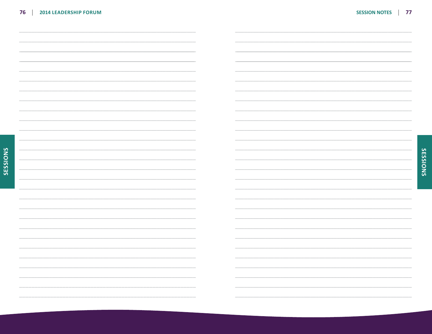| 76<br>2014 LEADERSHIP FORUM                                                                                     | <b>SESSION NOTES</b><br>77 |
|-----------------------------------------------------------------------------------------------------------------|----------------------------|
|                                                                                                                 |                            |
|                                                                                                                 |                            |
|                                                                                                                 |                            |
|                                                                                                                 |                            |
|                                                                                                                 |                            |
|                                                                                                                 |                            |
|                                                                                                                 |                            |
|                                                                                                                 |                            |
|                                                                                                                 |                            |
|                                                                                                                 |                            |
|                                                                                                                 |                            |
|                                                                                                                 |                            |
|                                                                                                                 |                            |
|                                                                                                                 |                            |
|                                                                                                                 |                            |
|                                                                                                                 |                            |
|                                                                                                                 |                            |
|                                                                                                                 |                            |
|                                                                                                                 |                            |
|                                                                                                                 |                            |
|                                                                                                                 |                            |
|                                                                                                                 |                            |
|                                                                                                                 |                            |
|                                                                                                                 |                            |
|                                                                                                                 |                            |
|                                                                                                                 |                            |
|                                                                                                                 |                            |
|                                                                                                                 |                            |
|                                                                                                                 |                            |
|                                                                                                                 |                            |
|                                                                                                                 |                            |
|                                                                                                                 |                            |
| $\sim$                                                                                                          |                            |
|                                                                                                                 |                            |
| the contract of the contract of the contract of the contract of the contract of the contract of the contract of | $\overline{\phantom{a}}$   |
|                                                                                                                 |                            |

SESSIONS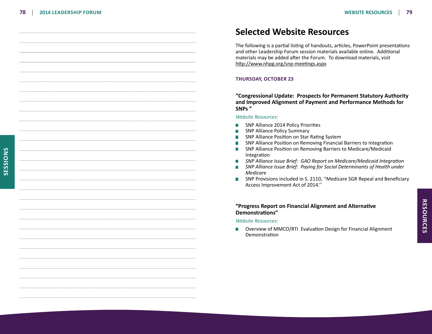SESSIONS

|                                                  | Se                                    |
|--------------------------------------------------|---------------------------------------|
|                                                  | The                                   |
|                                                  | and<br>mat                            |
|                                                  | http                                  |
|                                                  | <b>THU</b>                            |
|                                                  |                                       |
|                                                  | $^{\prime\prime}$ Co<br>and           |
|                                                  | <b>SNF</b>                            |
|                                                  | Wel<br>$\Box$                         |
|                                                  | $\Box$<br>$\mathcal{L}_{\mathcal{A}}$ |
|                                                  | D                                     |
|                                                  | $\mathcal{L}_{\mathcal{A}}$           |
|                                                  | $\Box$<br>$\Box$                      |
|                                                  | $\overline{\phantom{a}}$              |
|                                                  |                                       |
|                                                  |                                       |
|                                                  | "Pr<br>Der                            |
|                                                  | Wel                                   |
|                                                  | $\Box$                                |
|                                                  |                                       |
|                                                  |                                       |
|                                                  |                                       |
|                                                  |                                       |
|                                                  |                                       |
|                                                  |                                       |
|                                                  |                                       |
| the control of the control of the control of the |                                       |

# **Selected Website Resources**

following is a partial listing of handouts, articles, PowerPoint presentations other Leadership Forum session materials available online. Additional erials may be added after the Forum. To download materials, visit ://www.nhpg.org/snp-meetings.aspx

# **THURSDAY, OCTOBER 23**

**"Congressional Update: Prospects for Permanent Statutory Authority and Improved Alignment of Payment and Performance Methods for**  $\mathbf{s}$  "

# **bsite Resources:**

- SNP Alliance 2014 Policy Priorities
- SNP Alliance Policy Summary
- SNP Alliance Position on Star Rating System
- SNP Alliance Position on Removing Financial Barriers to Integration
- SNP Alliance Position on Removing Barriers to Medicare/Medicaid Integration
- *SNP Alliance Issue Brief: GAO Report on Medicare/Medicaid Integration*
- *SNP Alliance Issue Brief: Paying for Social Determinants of Health under Medicare*
- SNP Provisions included in S. 2110, ''Medicare SGR Repeal and Beneficiary Access Improvement Act of 2014.''

# **"Progress Report on Financial Alignment and Alternative Demonstrations"**

**bsite Resources:** 

Overview of MMCO/RTI Evaluation Design for Financial Alignment Demonstration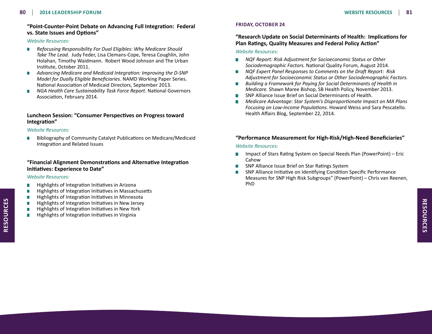# **80** | **2014 LEADERSHIP FORUM**

# **WEBSITE RESOURCES** | **81**

# **"Point-Counter-Point Debate on Advancing Full Integration: Federal vs. State Issues and Options"**

# *Website Resources:*

- *Refocusing Responsibility For Dual Eligibles: Why Medicare Should*  П *Take The Lead.* Judy Feder, Lisa Clemans-Cope, Teresa Coughlin, John Holahan, Timothy Waidmann. Robert Wood Johnson and The Urban Institute, October 2011.
- *Advancing Medicare and Medicaid Integration: Improving the D-SNP*   $\overline{\phantom{a}}$ *Model for Dually Eligible Beneficiaries.* NAMD Working Paper Series. National Association of Medicaid Directors, September 2013.
- $\mathcal{L}_{\mathcal{A}}$ *NGA Health Care Sustainability Task Force Report.* National Governors Association, February 2014.

# **Luncheon Session: "Consumer Perspectives on Progress toward Integration"**

#### *Website Resources:*

Bibliography of Community Catalyst Publications on Medicare/Medicaid Integration and Related Issues

# **"Financial Alignment Demonstrations and Alternative Integration Initiatives: Experience to Date"**

### *Website Resources:*

- F. Highlights of Integration Initiatives in Arizona
- Highlights of Integration Initiatives in Massachusetts
- Highlights of Integration Initiatives in Minnesota П
- Highlights of Integration Initiatives in New Jersey П
- Highlights of Integration Initiatives in New York П
- Highlights of Integration Initiatives in Virginia

# **FRIDAY, OCTOBER 24**

# **"Research Update on Social Determinants of Health: Implications for Plan Ratings, Quality Measures and Federal Policy Action"**

# *Website Resources:*

- *NQF Report: Risk Adjustment for Socioeconomic Status or Other Sociodemographic Factors.* National Quality Forum, August 2014.
- *NQF Expert Panel Responses to Comments on the Draft Report: Risk*  П *Adjustment for Socioeconomic Status or Other Sociodemographic Factors.*
- *Building a Framework for Paying for Social Determinants of Health in Medicare.* Shawn Maree Bishop, SB Health Policy, November 2013.
- SNP Alliance Issue Brief on Social Determinants of Health.
- *Medicare Advantage: Star System's Disproportionate Impact on MA Plans Focusing on Low-Income Populations.* Howard Weiss and Sara Pescatello. Health Affairs Blog, September 22, 2014.

# **"Performance Measurement for High-Risk/High-Need Beneficiaries"**

# *Website Resources:*

- Impact of Stars Rating System on Special Needs Plan (PowerPoint) Eric Cahow
- SNP Alliance Issue Brief on Star Ratings System
- SNP Alliance Initiative on Identifying Condition Specific Performance Measures for SNP High Risk Subgroups" (PowerPoint) – Chris van Reenen, PhD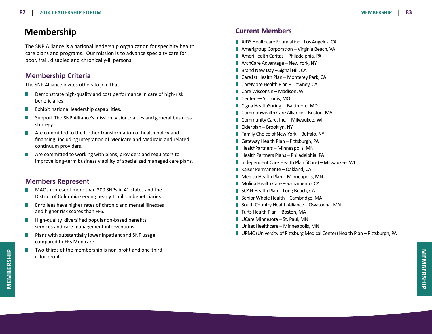# **Membership**

The SNP Alliance is a national leadership organization for specialty health care plans and programs. Our mission is to advance specialty care for poor, frail, disabled and chronically-ill persons.

# **Membership Criteria**

The SNP Alliance invites others to join that:

- Demonstrate high-quality and cost performance in care of high-risk beneficiaries.
- $\mathcal{L}_{\mathcal{A}}$ Exhibit national leadership capabilities.
- $\Box$ Support The SNP Alliance's mission, vision, values and general business strategy.
- $\mathcal{L}_{\mathcal{A}}$ Are committed to the further transformation of health policy and financing, including integration of Medicare and Medicaid and related continuum providers.
- Are committed to working with plans, providers and regulators to ш improve long-term business viability of specialized managed care plans.

# **Members Represent**

- MAOs represent more than 300 SNPs in 41 states and the **A** District of Columbia serving nearly 1 million beneficiaries.
- Enrollees have higher rates of chronic and mental illnesses  $\Box$ and higher risk scores than FFS.
- $\mathcal{L}_{\mathcal{A}}$ High-quality, diversified population-based benefits, services and care management interventions.
- Plans with substantially lower inpatient and SNF usage ш compared to FFS Medicare.
- Two-thirds of the membership is non-profit and one-third H is for-profit.

# **Current Members**

- AIDS Healthcare Foundation Los Angeles, CA
- **Amerigroup Corporation Virginia Beach, VA**
- AmeriHealth Caritas Philadelphia, PA
- ArchCare Advantage New York, NY
- **Brand New Day Signal Hill, CA**
- Care1st Health Plan Monterey Park, CA
- CareMore Health Plan Downey, CA
- Care Wisconsin Madison, WI
- Centene– St. Louis, MO
- Cigna HealthSpring Baltimore, MD
- **Commonwealth Care Alliance Boston, MA**
- Community Care, Inc. Milwaukee, WI
- Elderplan Brooklyn, NY
- Family Choice of New York Buffalo, NY
- Gateway Health Plan Pittsburgh, PA
- $\blacksquare$  HealthPartners Minneapolis, MN
- $\blacksquare$  Health Partners Plans Philadelphia, PA
- Independent Care Health Plan (iCare) Milwaukee, WI
- Kaiser Permanente Oakland, CA
- $\blacksquare$  Medica Health Plan Minneapolis, MN
- **Molina Health Care Sacramento, CA**
- $\blacksquare$  SCAN Health Plan Long Beach, CA
- Senior Whole Health Cambridge, MA
- South Country Health Alliance Owatonna, MN
- $\blacksquare$  Tufts Health Plan Boston, MA
- $\blacksquare$  UCare Minnesota St. Paul, MN
- $\blacksquare$  UnitedHealthcare Minneapolis, MN
- UPMC (University of Pittsburg Medical Center) Health Plan Pittsburgh, PA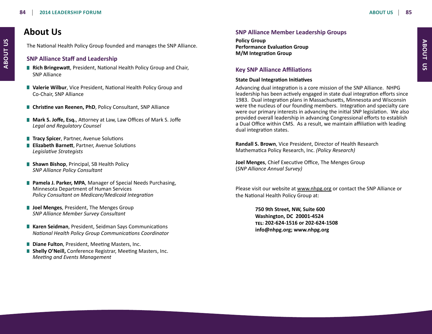# **About Us**

The National Health Policy Group founded and manages the SNP Alliance.

# **SNP Alliance Staff and Leadership**

- **Rich Bringewatt**, President, National Health Policy Group and Chair, SNP Alliance
- **Valerie Wilbur**, Vice President, National Health Policy Group and Co-Chair, SNP Alliance
- **Christine van Reenen, PhD**, Policy Consultant, SNP Alliance
- **Mark S. Joffe, Esq.**, Attorney at Law, Law Offices of Mark S. Joffe *Legal and Regulatory Counsel*
- **Tracy Spicer**, Partner, Avenue Solutions
- **Elizabeth Barnett**, Partner, Avenue Solutions *Legislative Strategists*
- **Shawn Bishop**, Principal, SB Health Policy *SNP Alliance Policy Consultant*
- **Pamela J. Parker, MPA**, Manager of Special Needs Purchasing, Minnesota Department of Human Services *Policy Consultant on Medicare/Medicaid Integration*
- **Joel Menges**, President, The Menges Group *SNP Alliance Member Survey Consultant*
- **Karen Seidman**, President, Seidman Says Communications *National Health Policy Group Communications Coordinator*
- **Diane Fulton**, President, Meeting Masters, Inc.
- **Shelly O'Neill,** Conference Registrar, Meeting Masters, Inc. *Meeting and Events Management*

# **SNP Alliance Member Leadership Groups**

**Policy Group Performance Evaluation Group M/M Integration Group**

# **Key SNP Alliance Affiliations**

# **State Dual Integration Initiatives**

Advancing dual integration is a core mission of the SNP Alliance. NHPG leadership has been actively engaged in state dual integration efforts since 1983. Dual integration plans in Massachusetts, Minnesota and Wisconsin were the nucleus of our founding members. Integration and specialty care were our primary interests in advancing the initial SNP legislation. We also provided overall leadership in advancing Congressional efforts to establish a Dual Office within CMS. As a result, we maintain affiliation with leading dual integration states.

**Randall S. Brown**, Vice President, Director of Health Research Mathematica Policy Research, Inc. *(Policy Research)*

**Joel Menges**, Chief Executive Office, The Menges Group (*SNP Alliance Annual Survey)*

Please visit our website at www.nhpg.org or contact the SNP Alliance or the National Health Policy Group at:

> **750 9th Street, NW, Suite 600 Washington, DC 20001-4524 tel: 202-624-1516 or 202-624-1508 info@nhpg.org; www.nhpg.org**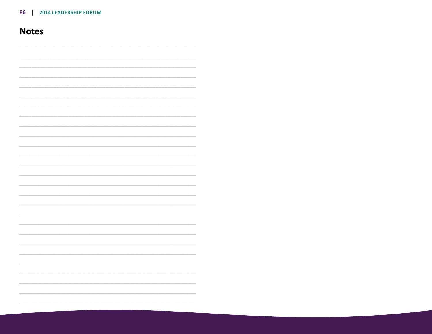# **Notes**